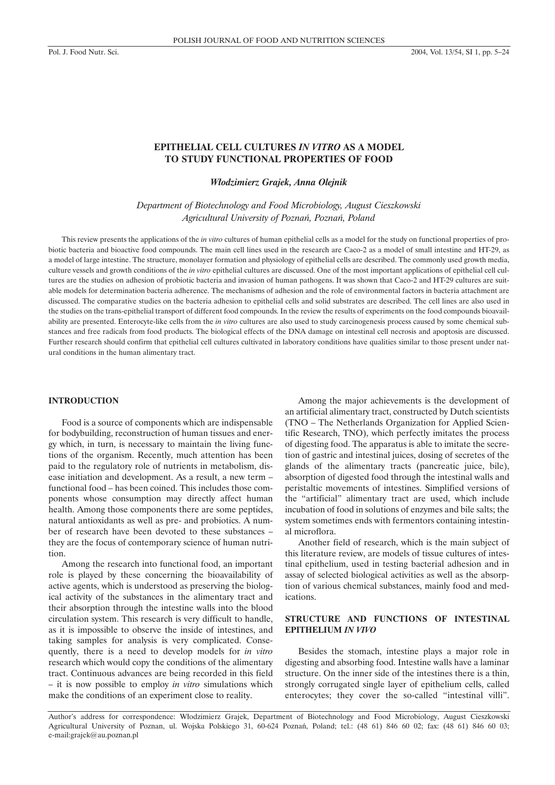# **EPITHELIAL CELL CULTURES** *IN VITRO* **AS A MODEL TO STUDY FUNCTIONAL PROPERTIES OF FOOD**

*W³odzimierz Grajek, Anna Olejnik*

*Department of Biotechnology and Food Microbiology, August Cieszkowski Agricultural University of Poznañ, Poznañ, Poland*

This review presents the applications of the *in vitro* cultures of human epithelial cells as a model for the study on functional properties of probiotic bacteria and bioactive food compounds. The main cell lines used in the research are Caco-2 as a model of small intestine and HT-29, as a model of large intestine. The structure, monolayer formation and physiology of epithelial cells are described. The commonly used growth media, culture vessels and growth conditions of the *in vitro* epithelial cultures are discussed. One of the most important applications of epithelial cell cultures are the studies on adhesion of probiotic bacteria and invasion of human pathogens. It was shown that Caco-2 and HT-29 cultures are suitable models for determination bacteria adherence. The mechanisms of adhesion and the role of environmental factors in bacteria attachment are discussed. The comparative studies on the bacteria adhesion to epithelial cells and solid substrates are described. The cell lines are also used in the studies on the trans-epithelial transport of different food compounds. In the review the results of experiments on the food compounds bioavailability are presented. Enterocyte-like cells from the *in vitro* cultures are also used to study carcinogenesis process caused by some chemical substances and free radicals from food products. The biological effects of the DNA damage on intestinal cell necrosis and apoptosis are discussed. Further research should confirm that epithelial cell cultures cultivated in laboratory conditions have qualities similar to those present under natural conditions in the human alimentary tract.

### **INTRODUCTION**

Food is a source of components which are indispensable for bodybuilding, reconstruction of human tissues and energy which, in turn, is necessary to maintain the living functions of the organism. Recently, much attention has been paid to the regulatory role of nutrients in metabolism, disease initiation and development. As a result, a new term – functional food – has been coined. This includes those components whose consumption may directly affect human health. Among those components there are some peptides, natural antioxidants as well as pre- and probiotics. A number of research have been devoted to these substances – they are the focus of contemporary science of human nutrition.

Among the research into functional food, an important role is played by these concerning the bioavailability of active agents, which is understood as preserving the biological activity of the substances in the alimentary tract and their absorption through the intestine walls into the blood circulation system. This research is very difficult to handle, as it is impossible to observe the inside of intestines, and taking samples for analysis is very complicated. Consequently, there is a need to develop models for *in vitro* research which would copy the conditions of the alimentary tract. Continuous advances are being recorded in this field – it is now possible to employ *in vitro* simulations which make the conditions of an experiment close to reality.

Among the major achievements is the development of an artificial alimentary tract, constructed by Dutch scientists (TNO – The Netherlands Organization for Applied Scientific Research, TNO), which perfectly imitates the process of digesting food. The apparatus is able to imitate the secretion of gastric and intestinal juices, dosing of secretes of the glands of the alimentary tracts (pancreatic juice, bile), absorption of digested food through the intestinal walls and peristaltic movements of intestines. Simplified versions of the "artificial" alimentary tract are used, which include incubation of food in solutions of enzymes and bile salts; the system sometimes ends with fermentors containing intestinal microflora.

Another field of research, which is the main subject of this literature review, are models of tissue cultures of intestinal epithelium, used in testing bacterial adhesion and in assay of selected biological activities as well as the absorption of various chemical substances, mainly food and medications.

# **STRUCTURE AND FUNCTIONS OF INTESTINAL EPITHELIUM** *IN VIVO*

Besides the stomach, intestine plays a major role in digesting and absorbing food. Intestine walls have a laminar structure. On the inner side of the intestines there is a thin, strongly corrugated single layer of epithelium cells, called enterocytes; they cover the so-called "intestinal villi".

Author's address for correspondence: Włodzimierz Grajek, Department of Biotechnology and Food Microbiology, August Cieszkowski Agricultural University of Poznan, ul. Wojska Polskiego 31, 60-624 Poznañ, Poland; tel.: (48 61) 846 60 02; fax: (48 61) 846 60 03; e-mail:grajek@au.poznan.pl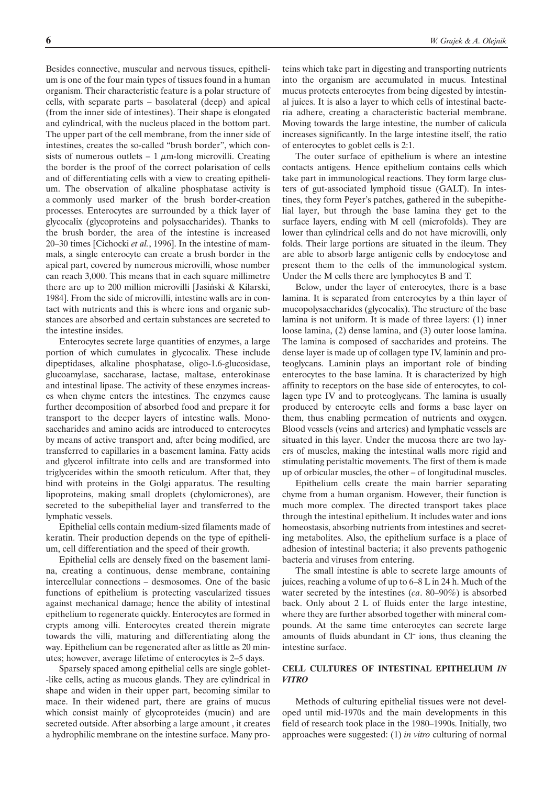Besides connective, muscular and nervous tissues, epithelium is one of the four main types of tissues found in a human organism. Their characteristic feature is a polar structure of cells, with separate parts – basolateral (deep) and apical (from the inner side of intestines). Their shape is elongated and cylindrical, with the nucleus placed in the bottom part. The upper part of the cell membrane, from the inner side of intestines, creates the so-called "brush border", which consists of numerous outlets  $-1 \mu$ m-long microvilli. Creating the border is the proof of the correct polarisation of cells and of differentiating cells with a view to creating epithelium. The observation of alkaline phosphatase activity is a commonly used marker of the brush border-creation processes. Enterocytes are surrounded by a thick layer of glycocalix (glycoproteins and polysaccharides). Thanks to the brush border, the area of the intestine is increased 20–30 times [Cichocki *et al.*, 1996]. In the intestine of mammals, a single enterocyte can create a brush border in the apical part, covered by numerous microvilli, whose number can reach 3,000. This means that in each square millimetre there are up to 200 million microvilli [Jasiñski & Kilarski, 1984]. From the side of microvilli, intestine walls are in contact with nutrients and this is where ions and organic substances are absorbed and certain substances are secreted to the intestine insides.

Enterocytes secrete large quantities of enzymes, a large portion of which cumulates in glycocalix. These include dipeptidases, alkaline phosphatase, oligo-1.6-glucosidase, glucoamylase, saccharase, lactase, maltase, enterokinase and intestinal lipase. The activity of these enzymes increases when chyme enters the intestines. The enzymes cause further decomposition of absorbed food and prepare it for transport to the deeper layers of intestine walls. Monosaccharides and amino acids are introduced to enterocytes by means of active transport and, after being modified, are transferred to capillaries in a basement lamina. Fatty acids and glycerol infiltrate into cells and are transformed into triglycerides within the smooth reticulum. After that, they bind with proteins in the Golgi apparatus. The resulting lipoproteins, making small droplets (chylomicrones), are secreted to the subepithelial layer and transferred to the lymphatic vessels.

Epithelial cells contain medium-sized filaments made of keratin. Their production depends on the type of epithelium, cell differentiation and the speed of their growth.

Epithelial cells are densely fixed on the basement lamina, creating a continuous, dense membrane, containing intercellular connections – desmosomes. One of the basic functions of epithelium is protecting vascularized tissues against mechanical damage; hence the ability of intestinal epithelium to regenerate quickly. Enterocytes are formed in crypts among villi. Enterocytes created therein migrate towards the villi, maturing and differentiating along the way. Epithelium can be regenerated after as little as 20 minutes; however, average lifetime of enterocytes is 2–5 days.

Sparsely spaced among epithelial cells are single goblet- -like cells, acting as mucous glands. They are cylindrical in shape and widen in their upper part, becoming similar to mace. In their widened part, there are grains of mucus which consist mainly of glycoproteides (mucin) and are secreted outside. After absorbing a large amount , it creates a hydrophilic membrane on the intestine surface. Many proteins which take part in digesting and transporting nutrients into the organism are accumulated in mucus. Intestinal mucus protects enterocytes from being digested by intestinal juices. It is also a layer to which cells of intestinal bacteria adhere, creating a characteristic bacterial membrane. Moving towards the large intestine, the number of calicula increases significantly. In the large intestine itself, the ratio of enterocytes to goblet cells is 2:1.

The outer surface of epithelium is where an intestine contacts antigens. Hence epithelium contains cells which take part in immunological reactions. They form large clusters of gut-associated lymphoid tissue (GALT). In intestines, they form Peyer's patches, gathered in the subepithelial layer, but through the base lamina they get to the surface layers, ending with M cell (microfolds). They are lower than cylindrical cells and do not have microvilli, only folds. Their large portions are situated in the ileum. They are able to absorb large antigenic cells by endocytose and present them to the cells of the immunological system. Under the M cells there are lymphocytes B and T.

Below, under the layer of enterocytes, there is a base lamina. It is separated from enterocytes by a thin layer of mucopolysaccharides (glycocalix). The structure of the base lamina is not uniform. It is made of three layers: (1) inner loose lamina, (2) dense lamina, and (3) outer loose lamina. The lamina is composed of saccharides and proteins. The dense layer is made up of collagen type IV, laminin and proteoglycans. Laminin plays an important role of binding enterocytes to the base lamina. It is characterized by high affinity to receptors on the base side of enterocytes, to collagen type IV and to proteoglycans. The lamina is usually produced by enterocyte cells and forms a base layer on them, thus enabling permeation of nutrients and oxygen. Blood vessels (veins and arteries) and lymphatic vessels are situated in this layer. Under the mucosa there are two layers of muscles, making the intestinal walls more rigid and stimulating peristaltic movements. The first of them is made up of orbicular muscles, the other – of longitudinal muscles.

Epithelium cells create the main barrier separating chyme from a human organism. However, their function is much more complex. The directed transport takes place through the intestinal epithelium. It includes water and ions homeostasis, absorbing nutrients from intestines and secreting metabolites. Also, the epithelium surface is a place of adhesion of intestinal bacteria; it also prevents pathogenic bacteria and viruses from entering.

The small intestine is able to secrete large amounts of juices, reaching a volume of up to 6–8 L in 24 h. Much of the water secreted by the intestines (*ca*. 80–90%) is absorbed back. Only about 2 L of fluids enter the large intestine, where they are further absorbed together with mineral compounds. At the same time enterocytes can secrete large amounts of fluids abundant in Cl– ions, thus cleaning the intestine surface.

## **CELL CULTURES OF INTESTINAL EPITHELIUM** *IN VITRO*

Methods of culturing epithelial tissues were not developed until mid-1970s and the main developments in this field of research took place in the 1980–1990s. Initially, two approaches were suggested: (1) *in vitro* culturing of normal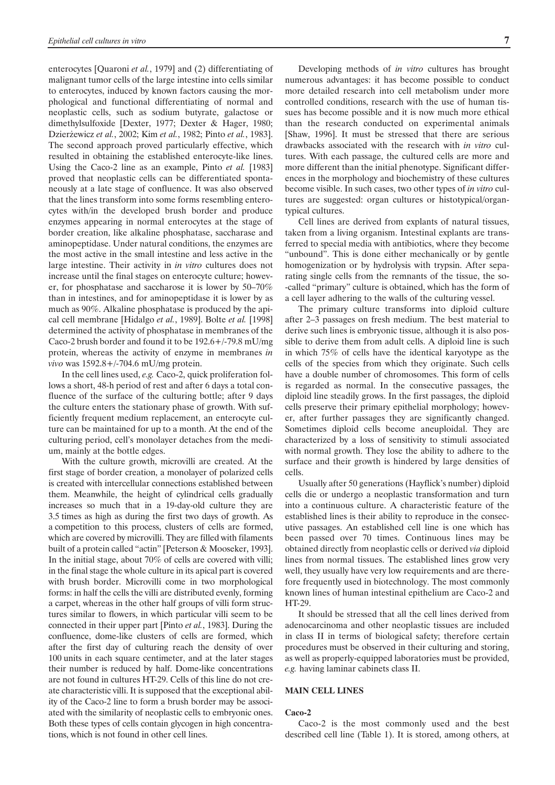enterocytes [Quaroni *et al.*, 1979] and (2) differentiating of malignant tumor cells of the large intestine into cells similar to enterocytes, induced by known factors causing the morphological and functional differentiating of normal and neoplastic cells, such as sodium butyrate, galactose or dimethylsulfoxide [Dexter, 1977; Dexter & Hager, 1980; Dzierżewicz et al., 2002; Kim et al., 1982; Pinto et al., 1983]. The second approach proved particularly effective, which resulted in obtaining the established enterocyte-like lines. Using the Caco-2 line as an example, Pinto *et al.* [1983] proved that neoplastic cells can be differentiated spontaneously at a late stage of confluence. It was also observed that the lines transform into some forms resembling enterocytes with/in the developed brush border and produce enzymes appearing in normal enterocytes at the stage of border creation, like alkaline phosphatase, saccharase and aminopeptidase. Under natural conditions, the enzymes are the most active in the small intestine and less active in the large intestine. Their activity in *in vitro* cultures does not increase until the final stages on enterocyte culture; however, for phosphatase and saccharose it is lower by 50–70% than in intestines, and for aminopeptidase it is lower by as much as 90%. Alkaline phosphatase is produced by the apical cell membrane [Hidalgo *et al.*, 1989]. Bolte *et al.* [1998] determined the activity of phosphatase in membranes of the Caco-2 brush border and found it to be 192.6+/-79.8 mU/mg protein, whereas the activity of enzyme in membranes *in vivo* was 1592.8+/-704.6 mU/mg protein.

In the cell lines used, *e.g.* Caco-2, quick proliferation follows a short, 48-h period of rest and after 6 days a total confluence of the surface of the culturing bottle; after 9 days the culture enters the stationary phase of growth. With sufficiently frequent medium replacement, an enterocyte culture can be maintained for up to a month. At the end of the culturing period, cell's monolayer detaches from the medium, mainly at the bottle edges.

With the culture growth, microvilli are created. At the first stage of border creation, a monolayer of polarized cells is created with intercellular connections established between them. Meanwhile, the height of cylindrical cells gradually increases so much that in a 19-day-old culture they are 3.5 times as high as during the first two days of growth. As a competition to this process, clusters of cells are formed, which are covered by microvilli. They are filled with filaments built of a protein called "actin" [Peterson & Mooseker, 1993]. In the initial stage, about 70% of cells are covered with villi; in the final stage the whole culture in its apical part is covered with brush border. Microvilli come in two morphological forms: in half the cells the villi are distributed evenly, forming a carpet, whereas in the other half groups of villi form structures similar to flowers, in which particular villi seem to be connected in their upper part [Pinto *et al.*, 1983]. During the confluence, dome-like clusters of cells are formed, which after the first day of culturing reach the density of over 100 units in each square centimeter, and at the later stages their number is reduced by half. Dome-like concentrations are not found in cultures HT-29. Cells of this line do not create characteristic villi. It is supposed that the exceptional ability of the Caco-2 line to form a brush border may be associated with the similarity of neoplastic cells to embryonic ones. Both these types of cells contain glycogen in high concentrations, which is not found in other cell lines.

Developing methods of *in vitro* cultures has brought numerous advantages: it has become possible to conduct more detailed research into cell metabolism under more controlled conditions, research with the use of human tissues has become possible and it is now much more ethical than the research conducted on experimental animals [Shaw, 1996]. It must be stressed that there are serious drawbacks associated with the research with *in vitro* cultures. With each passage, the cultured cells are more and more different than the initial phenotype. Significant differences in the morphology and biochemistry of these cultures become visible. In such cases, two other types of *in vitro* cultures are suggested: organ cultures or histotypical/organtypical cultures.

Cell lines are derived from explants of natural tissues, taken from a living organism. Intestinal explants are transferred to special media with antibiotics, where they become "unbound". This is done either mechanically or by gentle homogenization or by hydrolysis with trypsin. After separating single cells from the remnants of the tissue, the so- -called "primary" culture is obtained, which has the form of a cell layer adhering to the walls of the culturing vessel.

The primary culture transforms into diploid culture after 2–3 passages on fresh medium. The best material to derive such lines is embryonic tissue, although it is also possible to derive them from adult cells. A diploid line is such in which 75% of cells have the identical karyotype as the cells of the species from which they originate. Such cells have a double number of chromosomes. This form of cells is regarded as normal. In the consecutive passages, the diploid line steadily grows. In the first passages, the diploid cells preserve their primary epithelial morphology; however, after further passages they are significantly changed. Sometimes diploid cells become aneuploidal. They are characterized by a loss of sensitivity to stimuli associated with normal growth. They lose the ability to adhere to the surface and their growth is hindered by large densities of cells.

Usually after 50 generations (Hayflick's number) diploid cells die or undergo a neoplastic transformation and turn into a continuous culture. A characteristic feature of the established lines is their ability to reproduce in the consecutive passages. An established cell line is one which has been passed over 70 times. Continuous lines may be obtained directly from neoplastic cells or derived *via* diploid lines from normal tissues. The established lines grow very well, they usually have very low requirements and are therefore frequently used in biotechnology. The most commonly known lines of human intestinal epithelium are Caco-2 and HT-29.

It should be stressed that all the cell lines derived from adenocarcinoma and other neoplastic tissues are included in class II in terms of biological safety; therefore certain procedures must be observed in their culturing and storing, as well as properly-equipped laboratories must be provided, *e.g.* having laminar cabinets class II.

### **MAIN CELL LINES**

#### **Caco-2**

Caco-2 is the most commonly used and the best described cell line (Table 1). It is stored, among others, at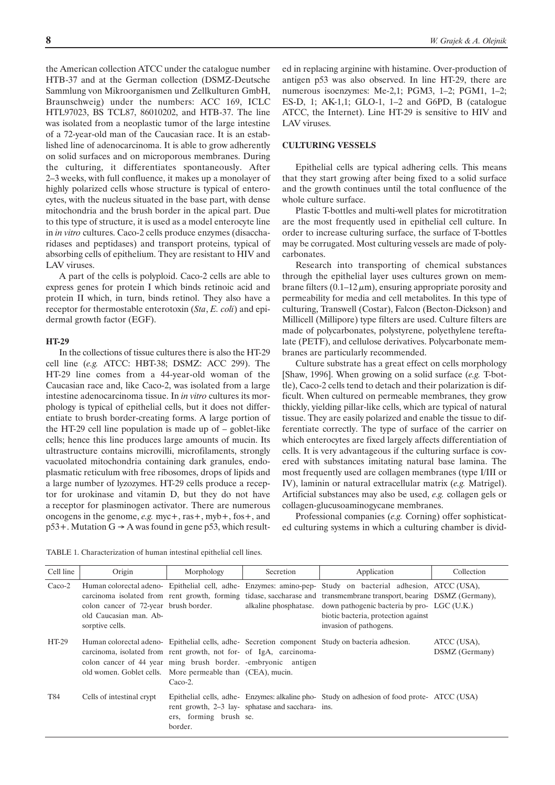the American collection ATCC under the catalogue number HTB-37 and at the German collection (DSMZ-Deutsche Sammlung von Mikroorganismen und Zellkulturen GmbH, Braunschweig) under the numbers: ACC 169, ICLC HTL97023, BS TCL87, 86010202, and HTB-37. The line was isolated from a neoplastic tumor of the large intestine of a 72-year-old man of the Caucasian race. It is an established line of adenocarcinoma. It is able to grow adherently on solid surfaces and on microporous membranes. During the culturing, it differentiates spontaneously. After 2–3 weeks, with full confluence, it makes up a monolayer of highly polarized cells whose structure is typical of enterocytes, with the nucleus situated in the base part, with dense mitochondria and the brush border in the apical part. Due to this type of structure, it is used as a model enterocyte line in *in vitro* cultures. Caco-2 cells produce enzymes (disaccharidases and peptidases) and transport proteins, typical of absorbing cells of epithelium. They are resistant to HIV and LAV viruses.

A part of the cells is polyploid. Caco-2 cells are able to express genes for protein I which binds retinoic acid and protein II which, in turn, binds retinol. They also have a receptor for thermostable enterotoxin (*Sta*, *E. coli*) and epidermal growth factor (EGF).

### **HT-29**

In the collections of tissue cultures there is also the HT-29 cell line (*e.g.* ATCC: HBT-38; DSMZ: ACC 299). The HT-29 line comes from a 44-year-old woman of the Caucasian race and, like Caco-2, was isolated from a large intestine adenocarcinoma tissue. In *in vitro* cultures its morphology is typical of epithelial cells, but it does not differentiate to brush border-creating forms. A large portion of the HT-29 cell line population is made up of – goblet-like cells; hence this line produces large amounts of mucin. Its ultrastructure contains microvilli, microfilaments, strongly vacuolated mitochondria containing dark granules, endoplasmatic reticulum with free ribosomes, drops of lipids and a large number of lyzozymes. HT-29 cells produce a receptor for urokinase and vitamin D, but they do not have a receptor for plasminogen activator. There are numerous oncogens in the genome, *e.g.* myc+, ras+, myb+, fos+, and  $p53+$ . Mutation G  $\rightarrow$  A was found in gene p53, which resulted in replacing arginine with histamine. Over-production of antigen p53 was also observed. In line HT-29, there are numerous isoenzymes: Me-2,1; PGM3, 1–2; PGM1, 1–2; ES-D, 1; AK-1,1; GLO-1, 1–2 and G6PD, B (catalogue ATCC, the Internet). Line HT-29 is sensitive to HIV and LAV viruses.

### **CULTURING VESSELS**

Epithelial cells are typical adhering cells. This means that they start growing after being fixed to a solid surface and the growth continues until the total confluence of the whole culture surface.

Plastic T-bottles and multi-well plates for microtitration are the most frequently used in epithelial cell culture. In order to increase culturing surface, the surface of T-bottles may be corrugated. Most culturing vessels are made of polycarbonates.

Research into transporting of chemical substances through the epithelial layer uses cultures grown on membrane filters  $(0.1-12 \mu m)$ , ensuring appropriate porosity and permeability for media and cell metabolites. In this type of culturing, Transwell (Costar), Falcon (Becton-Dickson) and Millicell (Millipore) type filters are used. Culture filters are made of polycarbonates, polystyrene, polyethylene tereftalate (PETF), and cellulose derivatives. Polycarbonate membranes are particularly recommended.

Culture substrate has a great effect on cells morphology [Shaw, 1996]. When growing on a solid surface (*e.g.* T-bottle), Caco-2 cells tend to detach and their polarization is difficult. When cultured on permeable membranes, they grow thickly, yielding pillar-like cells, which are typical of natural tissue. They are easily polarized and enable the tissue to differentiate correctly. The type of surface of the carrier on which enterocytes are fixed largely affects differentiation of cells. It is very advantageous if the culturing surface is covered with substances imitating natural base lamina. The most frequently used are collagen membranes (type I/III or IV), laminin or natural extracellular matrix (*e.g.* Matrigel). Artificial substances may also be used, *e.g.* collagen gels or collagen-glucusoaminogycane membranes.

Professional companies (*e.g.* Corning) offer sophisticated culturing systems in which a culturing chamber is divid-

TABLE 1. Characterization of human intestinal epithelial cell lines.

| Cell line | Origin                                                                                                                                                                                           | Morphology                        | Secretion                                        | Application                                                                                                                                                                                                                                                                                                                                                               | Collection                    |
|-----------|--------------------------------------------------------------------------------------------------------------------------------------------------------------------------------------------------|-----------------------------------|--------------------------------------------------|---------------------------------------------------------------------------------------------------------------------------------------------------------------------------------------------------------------------------------------------------------------------------------------------------------------------------------------------------------------------------|-------------------------------|
| $Caco-2$  | colon cancer of 72-year brush border.<br>old Caucasian man. Ab-<br>sorptive cells.                                                                                                               |                                   |                                                  | Human colorectal adeno- Epithelial cell, adhe- Enzymes: amino-pep- Study on bacterial adhesion, ATCC (USA),<br>carcinoma isolated from rent growth, forming tidase, saccharase and transmembrane transport, bearing DSMZ (Germany),<br>alkaline phosphatase. down pathogenic bacteria by pro- LGC (U.K.)<br>biotic bacteria, protection against<br>invasion of pathogens. |                               |
| HT-29     | carcinoma, isolated from rent growth, not for- of IgA, carcinoma-<br>colon cancer of 44 year ming brush border. -embryonic antigen<br>old women. Goblet cells. More permeable than (CEA), mucin. | $Caco-2.$                         |                                                  | Human colorectal adeno- Epithelial cells, adhe- Secretion component Study on bacteria adhesion.                                                                                                                                                                                                                                                                           | ATCC (USA),<br>DSMZ (Germany) |
| T84       | Cells of intestinal crypt                                                                                                                                                                        | ers, forming brush se.<br>border. | rent growth, 2–3 lay-sphatase and sacchara- ins. | Epithelial cells, adhe- Enzymes: alkaline pho- Study on adhesion of food prote- ATCC (USA)                                                                                                                                                                                                                                                                                |                               |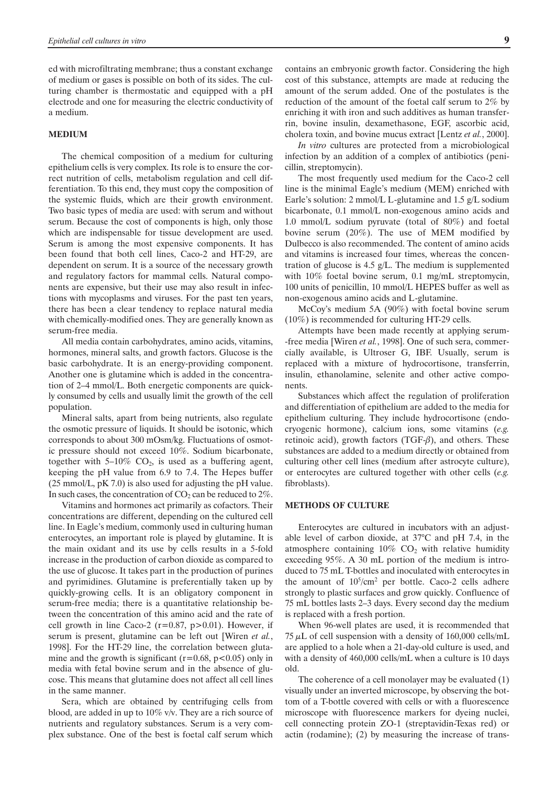ed with microfiltrating membrane; thus a constant exchange of medium or gases is possible on both of its sides. The culturing chamber is thermostatic and equipped with a pH electrode and one for measuring the electric conductivity of a medium.

### **MEDIUM**

The chemical composition of a medium for culturing epithelium cells is very complex. Its role is to ensure the correct nutrition of cells, metabolism regulation and cell differentiation. To this end, they must copy the composition of the systemic fluids, which are their growth environment. Two basic types of media are used: with serum and without serum. Because the cost of components is high, only those which are indispensable for tissue development are used. Serum is among the most expensive components. It has been found that both cell lines, Caco-2 and HT-29, are dependent on serum. It is a source of the necessary growth and regulatory factors for mammal cells. Natural components are expensive, but their use may also result in infections with mycoplasms and viruses. For the past ten years, there has been a clear tendency to replace natural media with chemically-modified ones. They are generally known as serum-free media.

All media contain carbohydrates, amino acids, vitamins, hormones, mineral salts, and growth factors. Glucose is the basic carbohydrate. It is an energy-providing component. Another one is glutamine which is added in the concentration of 2–4 mmol/L. Both energetic components are quickly consumed by cells and usually limit the growth of the cell population.

Mineral salts, apart from being nutrients, also regulate the osmotic pressure of liquids. It should be isotonic, which corresponds to about 300 mOsm/kg. Fluctuations of osmotic pressure should not exceed 10%. Sodium bicarbonate, together with  $5-10\%$  CO<sub>2</sub>, is used as a buffering agent, keeping the pH value from 6.9 to 7.4. The Hepes buffer (25 mmol/L, pK 7.0) is also used for adjusting the pH value. In such cases, the concentration of  $CO<sub>2</sub>$  can be reduced to  $2\%$ .

Vitamins and hormones act primarily as cofactors. Their concentrations are different, depending on the cultured cell line. In Eagle's medium, commonly used in culturing human enterocytes, an important role is played by glutamine. It is the main oxidant and its use by cells results in a 5-fold increase in the production of carbon dioxide as compared to the use of glucose. It takes part in the production of purines and pyrimidines. Glutamine is preferentially taken up by quickly-growing cells. It is an obligatory component in serum-free media; there is a quantitative relationship between the concentration of this amino acid and the rate of cell growth in line Caco-2 ( $r=0.87$ ,  $p>0.01$ ). However, if serum is present, glutamine can be left out [Wiren *et al.*, 1998]. For the HT-29 line, the correlation between glutamine and the growth is significant  $(r=0.68, p<0.05)$  only in media with fetal bovine serum and in the absence of glucose. This means that glutamine does not affect all cell lines in the same manner.

Sera, which are obtained by centrifuging cells from blood, are added in up to 10% v/v. They are a rich source of nutrients and regulatory substances. Serum is a very complex substance. One of the best is foetal calf serum which contains an embryonic growth factor. Considering the high cost of this substance, attempts are made at reducing the amount of the serum added. One of the postulates is the reduction of the amount of the foetal calf serum to 2% by enriching it with iron and such additives as human transferrin, bovine insulin, dexamethasone, EGF, ascorbic acid, cholera toxin, and bovine mucus extract [Lentz *et al.*, 2000].

*In vitro* cultures are protected from a microbiological infection by an addition of a complex of antibiotics (penicillin, streptomycin).

The most frequently used medium for the Caco-2 cell line is the minimal Eagle's medium (MEM) enriched with Earle's solution: 2 mmol/L L-glutamine and 1.5 g/L sodium bicarbonate, 0.1 mmol/L non-exogenous amino acids and 1.0 mmol/L sodium pyruvate (total of 80%) and foetal bovine serum (20%). The use of MEM modified by Dulbecco is also recommended. The content of amino acids and vitamins is increased four times, whereas the concentration of glucose is 4.5 g/L. The medium is supplemented with 10% foetal bovine serum, 0.1 mg/mL streptomycin, 100 units of penicillin, 10 mmol/L HEPES buffer as well as non-exogenous amino acids and L-glutamine.

McCoy's medium 5A (90%) with foetal bovine serum (10%) is recommended for culturing HT-29 cells.

Attempts have been made recently at applying serum- -free media [Wiren *et al.*, 1998]. One of such sera, commercially available, is Ultroser G, IBF. Usually, serum is replaced with a mixture of hydrocortisone, transferrin, insulin, ethanolamine, selenite and other active components.

Substances which affect the regulation of proliferation and differentiation of epithelium are added to the media for epithelium culturing. They include hydrocortisone (endocryogenic hormone), calcium ions, some vitamins (*e.g.* retinoic acid), growth factors (TGF- $\beta$ ), and others. These substances are added to a medium directly or obtained from culturing other cell lines (medium after astrocyte culture), or enterocytes are cultured together with other cells (*e.g.* fibroblasts).

## **METHODS OF CULTURE**

Enterocytes are cultured in incubators with an adjustable level of carbon dioxide, at 37°C and pH 7.4, in the atmosphere containing  $10\%$  CO<sub>2</sub> with relative humidity exceeding 95%. A 30 mL portion of the medium is introduced to 75 mL T-bottles and inoculated with enterocytes in the amount of  $10^5$ /cm<sup>2</sup> per bottle. Caco-2 cells adhere strongly to plastic surfaces and grow quickly. Confluence of 75 mL bottles lasts 2–3 days. Every second day the medium is replaced with a fresh portion.

When 96-well plates are used, it is recommended that  $75 \mu L$  of cell suspension with a density of 160,000 cells/mL are applied to a hole when a 21-day-old culture is used, and with a density of 460,000 cells/mL when a culture is 10 days old.

The coherence of a cell monolayer may be evaluated (1) visually under an inverted microscope, by observing the bottom of a T-bottle covered with cells or with a fluorescence microscope with fluorescence markers for dyeing nuclei, cell connecting protein ZO-1 (streptavidin-Texas red) or actin (rodamine); (2) by measuring the increase of trans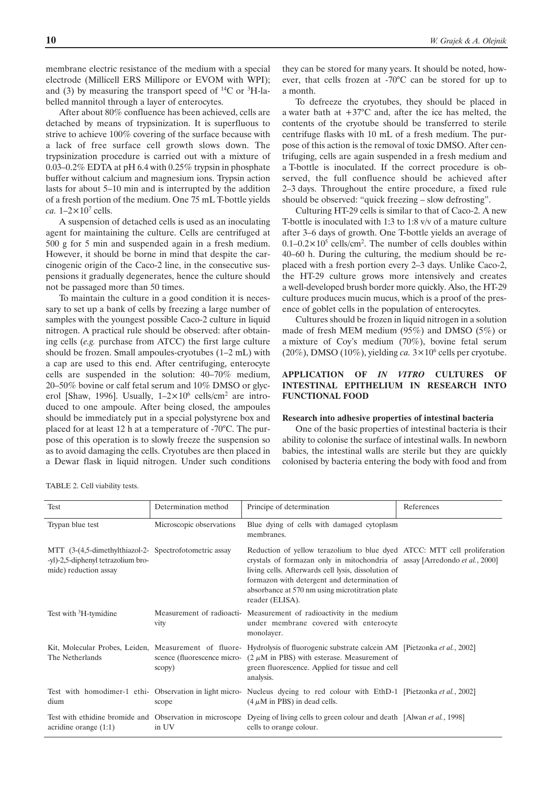membrane electric resistance of the medium with a special electrode (Millicell ERS Millipore or EVOM with WPI); and (3) by measuring the transport speed of  $^{14}C$  or  $^{3}H$ -labelled mannitol through a layer of enterocytes.

After about 80% confluence has been achieved, cells are detached by means of trypsinization. It is superfluous to strive to achieve 100% covering of the surface because with a lack of free surface cell growth slows down. The trypsinization procedure is carried out with a mixture of 0.03–0.2% EDTA at pH 6.4 with 0.25% trypsin in phosphate buffer without calcium and magnesium ions. Trypsin action lasts for about 5–10 min and is interrupted by the addition of a fresh portion of the medium. One 75 mL T-bottle yields *ca.*  $1-2\times10^7$  cells.

A suspension of detached cells is used as an inoculating agent for maintaining the culture. Cells are centrifuged at 500 g for 5 min and suspended again in a fresh medium. However, it should be borne in mind that despite the carcinogenic origin of the Caco-2 line, in the consecutive suspensions it gradually degenerates, hence the culture should not be passaged more than 50 times.

To maintain the culture in a good condition it is necessary to set up a bank of cells by freezing a large number of samples with the youngest possible Caco-2 culture in liquid nitrogen. A practical rule should be observed: after obtaining cells (*e.g.* purchase from ATCC) the first large culture should be frozen. Small ampoules-cryotubes (1–2 mL) with a cap are used to this end. After centrifuging, enterocyte cells are suspended in the solution: 40–70% medium, 20–50% bovine or calf fetal serum and 10% DMSO or glycerol [Shaw, 1996]. Usually,  $1-2\times10^6$  cells/cm<sup>2</sup> are introduced to one ampoule. After being closed, the ampoules should be immediately put in a special polystyrene box and placed for at least 12 h at a temperature of -70°C. The purpose of this operation is to slowly freeze the suspension so as to avoid damaging the cells. Cryotubes are then placed in a Dewar flask in liquid nitrogen. Under such conditions

they can be stored for many years. It should be noted, however, that cells frozen at -70°C can be stored for up to a month.

To defreeze the cryotubes, they should be placed in a water bath at  $+37^{\circ}$ C and, after the ice has melted, the contents of the cryotube should be transferred to sterile centrifuge flasks with 10 mL of a fresh medium. The purpose of this action is the removal of toxic DMSO. After centrifuging, cells are again suspended in a fresh medium and a T-bottle is inoculated. If the correct procedure is observed, the full confluence should be achieved after 2–3 days. Throughout the entire procedure, a fixed rule should be observed: "quick freezing – slow defrosting".

Culturing HT-29 cells is similar to that of Caco-2. A new T-bottle is inoculated with 1:3 to 1:8 v/v of a mature culture after 3–6 days of growth. One T-bottle yields an average of  $0.1 - 0.2 \times 10^5$  cells/cm<sup>2</sup>. The number of cells doubles within 40–60 h. During the culturing, the medium should be replaced with a fresh portion every 2–3 days. Unlike Caco-2, the HT-29 culture grows more intensively and creates a well-developed brush border more quickly. Also, the HT-29 culture produces mucin mucus, which is a proof of the presence of goblet cells in the population of enterocytes.

Cultures should be frozen in liquid nitrogen in a solution made of fresh MEM medium (95%) and DMSO (5%) or a mixture of Coy's medium (70%), bovine fetal serum (20%), DMSO (10%), yielding *ca*.  $3 \times 10^6$  cells per cryotube.

# **APPLICATION OF** *IN VITRO* **CULTURES OF INTESTINAL EPITHELIUM IN RESEARCH INTO FUNCTIONAL FOOD**

#### **Research into adhesive properties of intestinal bacteria**

One of the basic properties of intestinal bacteria is their ability to colonise the surface of intestinal walls. In newborn babies, the intestinal walls are sterile but they are quickly colonised by bacteria entering the body with food and from

TABLE 2. Cell viability tests.

| Test                                                                                                                  | Determination method     | Principe of determination                                                                                                                                                                                                                                                                                                                    | References |
|-----------------------------------------------------------------------------------------------------------------------|--------------------------|----------------------------------------------------------------------------------------------------------------------------------------------------------------------------------------------------------------------------------------------------------------------------------------------------------------------------------------------|------------|
| Trypan blue test                                                                                                      | Microscopic observations | Blue dying of cells with damaged cytoplasm<br>membranes.                                                                                                                                                                                                                                                                                     |            |
| MTT (3-(4,5-dimethylthiazol-2- Spectrofotometric assay<br>-yl)-2,5-diphenyl tetrazolium bro-<br>mide) reduction assay |                          | Reduction of yellow terazolium to blue dyed ATCC: MTT cell proliferation<br>crystals of formazan only in mitochondria of assay [Arredondo <i>et al.</i> , 2000]<br>living cells. Afterwards cell lysis, dissolution of<br>formazon with detergent and determination of<br>absorbance at 570 nm using microtitration plate<br>reader (ELISA). |            |
| Test with <sup>3</sup> H-tymidine                                                                                     | vity                     | Measurement of radioacti- Measurement of radioactivity in the medium<br>under membrane covered with enterocyte<br>monolayer.                                                                                                                                                                                                                 |            |
| The Netherlands                                                                                                       | scopy)                   | Kit, Molecular Probes, Leiden, Measurement of fluore- Hydrolysis of fluorogenic substrate calcein AM [Pietzonka et al., 2002]<br>scence (fluorescence micro- $(2 \mu M \text{ in PBS})$ with esterase. Measurement of<br>green fluorescence. Applied for tissue and cell<br>analysis.                                                        |            |
| dium                                                                                                                  | scope                    | Test with homodimer-1 ethi- Observation in light micro- Nucleus dyeing to red colour with EthD-1 [Pietzonka et al., 2002]<br>$(4 \mu M$ in PBS) in dead cells.                                                                                                                                                                               |            |
| acridine orange $(1:1)$                                                                                               | in UV                    | Test with ethidine bromide and Observation in microscope Dyeing of living cells to green colour and death [Alwan et al., 1998]<br>cells to orange colour.                                                                                                                                                                                    |            |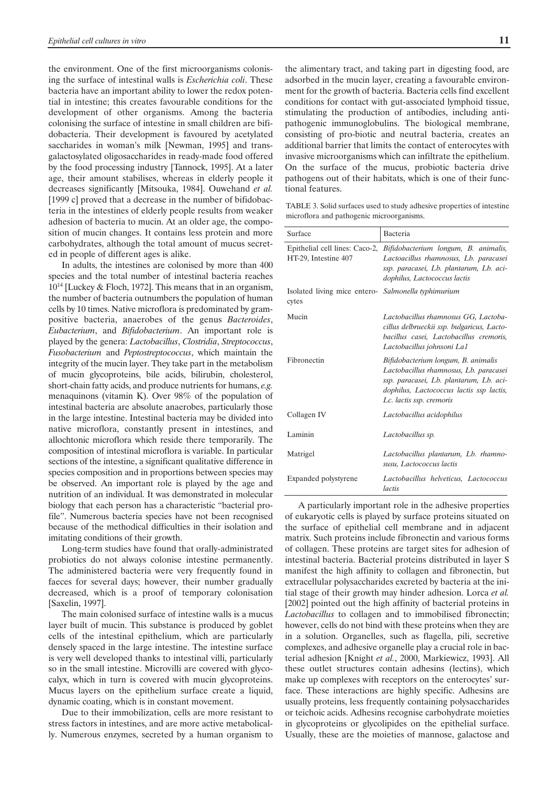the environment. One of the first microorganisms colonising the surface of intestinal walls is *Escherichia coli*. These bacteria have an important ability to lower the redox potential in intestine; this creates favourable conditions for the development of other organisms. Among the bacteria colonising the surface of intestine in small children are bifidobacteria. Their development is favoured by acetylated saccharides in woman's milk [Newman, 1995] and transgalactosylated oligosaccharides in ready-made food offered by the food processing industry [Tannock, 1995]. At a later age, their amount stabilises, whereas in elderly people it decreases significantly [Mitsouka, 1984]. Ouwehand *et al.* [1999 c] proved that a decrease in the number of bifidobacteria in the intestines of elderly people results from weaker adhesion of bacteria to mucin. At an older age, the composition of mucin changes. It contains less protein and more carbohydrates, although the total amount of mucus secreted in people of different ages is alike.

In adults, the intestines are colonised by more than 400 species and the total number of intestinal bacteria reaches 1014 [Luckey & Floch, 1972]. This means that in an organism, the number of bacteria outnumbers the population of human cells by 10 times. Native microflora is predominated by grampositive bacteria, anaerobes of the genus *Bacteroides*, *Eubacterium*, and *Bifidobacterium*. An important role is played by the genera: *Lactobacillus*, *Clostridia*, *Streptococcus*, *Fusobacterium* and *Peptostreptococcus*, which maintain the integrity of the mucin layer. They take part in the metabolism of mucin glycoproteins, bile acids, bilirubin, cholesterol, short-chain fatty acids, and produce nutrients for humans, *e.g.* menaquinons (vitamin K). Over 98% of the population of intestinal bacteria are absolute anaerobes, particularly those in the large intestine. Intestinal bacteria may be divided into native microflora, constantly present in intestines, and allochtonic microflora which reside there temporarily. The composition of intestinal microflora is variable. In particular sections of the intestine, a significant qualitative difference in species composition and in proportions between species may be observed. An important role is played by the age and nutrition of an individual. It was demonstrated in molecular biology that each person has a characteristic "bacterial profile". Numerous bacteria species have not been recognised because of the methodical difficulties in their isolation and imitating conditions of their growth.

Long-term studies have found that orally-administrated probiotics do not always colonise intestine permanently. The administered bacteria were very frequently found in faeces for several days; however, their number gradually decreased, which is a proof of temporary colonisation [Saxelin, 1997].

The main colonised surface of intestine walls is a mucus layer built of mucin. This substance is produced by goblet cells of the intestinal epithelium, which are particularly densely spaced in the large intestine. The intestine surface is very well developed thanks to intestinal villi, particularly so in the small intestine. Microvilli are covered with glycocalyx, which in turn is covered with mucin glycoproteins. Mucus layers on the epithelium surface create a liquid, dynamic coating, which is in constant movement.

Due to their immobilization, cells are more resistant to stress factors in intestines, and are more active metabolically. Numerous enzymes, secreted by a human organism to the alimentary tract, and taking part in digesting food, are adsorbed in the mucin layer, creating a favourable environment for the growth of bacteria. Bacteria cells find excellent conditions for contact with gut-associated lymphoid tissue, stimulating the production of antibodies, including antipathogenic immunoglobulins. The biological membrane, consisting of pro-biotic and neutral bacteria, creates an additional barrier that limits the contact of enterocytes with invasive microorganisms which can infiltrate the epithelium. On the surface of the mucus, probiotic bacteria drive

TABLE 3. Solid surfaces used to study adhesive properties of intestine microflora and pathogenic microorganisms.

pathogens out of their habitats, which is one of their func-

tional features.

| Surface                                                      | Bacteria                                                                                                                                                                                                |
|--------------------------------------------------------------|---------------------------------------------------------------------------------------------------------------------------------------------------------------------------------------------------------|
| HT-29, Intestine 407                                         | Epithelial cell lines: Caco-2, <i>Bifidobacterium longum</i> , <i>B. animalis</i> ,<br>Lactoacillus rhamnosus, Lb. paracasei<br>ssp. paracasei, Lb. plantarum, Lb. aci-<br>dophilus, Lactococcus lactis |
| Isolated living mice entero- Salmonella typhimurium<br>cytes |                                                                                                                                                                                                         |
| Mucin                                                        | Lactobacillus rhamnosus GG, Lactoba-<br>cillus delbrueckii ssp. bulgaricus, Lacto-<br>bacillus casei, Lactobacillus cremoris,<br>Lactobacillus johnsoni La1                                             |
| Fibronectin                                                  | Bifidobacterium longum, B. animalis<br>Lactobacillus rhamnosus, Lb. paracasei<br>ssp. paracasei, Lb. plantarum, Lb. aci-<br>dophilus, Lactococcus lactis ssp lactis,<br>Lc. lactis ssp. cremoris        |
| Collagen IV                                                  | Lactobacillus acidophilus                                                                                                                                                                               |
| Laminin                                                      | Lactobacillus sp.                                                                                                                                                                                       |
| Matrigel                                                     | Lactobacillus plantarum, Lb. rhamno-<br>susu, Lactococcus lactis                                                                                                                                        |
| Expanded polystyrene                                         | Lactobacillus helveticus, Lactococcus<br>lactis                                                                                                                                                         |

A particularly important role in the adhesive properties of eukaryotic cells is played by surface proteins situated on the surface of epithelial cell membrane and in adjacent matrix. Such proteins include fibronectin and various forms of collagen. These proteins are target sites for adhesion of intestinal bacteria. Bacterial proteins distributed in layer S manifest the high affinity to collagen and fibronectin, but extracellular polysaccharides excreted by bacteria at the initial stage of their growth may hinder adhesion. Lorca *et al.* [2002] pointed out the high affinity of bacterial proteins in *Lactobacillus* to collagen and to immobilised fibronectin; however, cells do not bind with these proteins when they are in a solution. Organelles, such as flagella, pili, secretive complexes, and adhesive organelle play a crucial role in bacterial adhesion [Knight *et al.*, 2000, Markiewicz, 1993]. All these outlet structures contain adhesins (lectins), which make up complexes with receptors on the enterocytes' surface. These interactions are highly specific. Adhesins are usually proteins, less frequently containing polysaccharides or teichoic acids. Adhesins recognise carbohydrate moieties in glycoproteins or glycolipides on the epithelial surface. Usually, these are the moieties of mannose, galactose and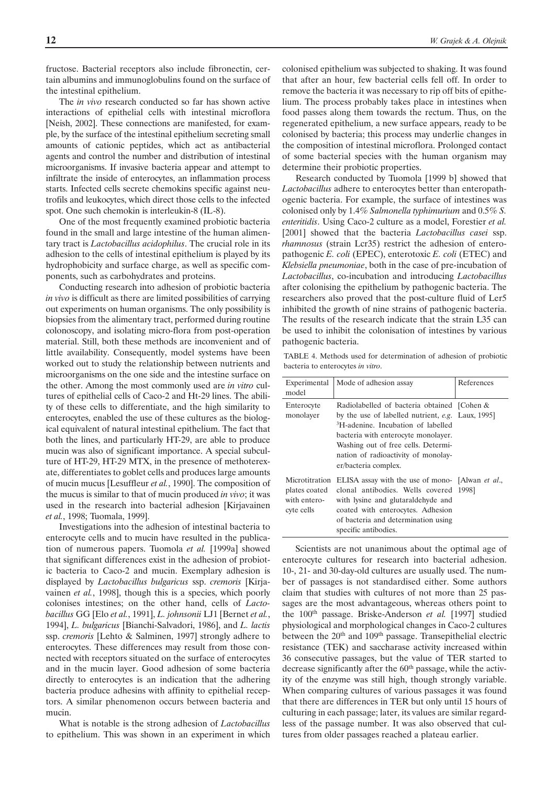fructose. Bacterial receptors also include fibronectin, certain albumins and immunoglobulins found on the surface of the intestinal epithelium.

The *in vivo* research conducted so far has shown active interactions of epithelial cells with intestinal microflora [Neish, 2002]. These connections are manifested, for example, by the surface of the intestinal epithelium secreting small amounts of cationic peptides, which act as antibacterial agents and control the number and distribution of intestinal microorganisms. If invasive bacteria appear and attempt to infiltrate the inside of enterocytes, an inflammation process starts. Infected cells secrete chemokins specific against neutrofils and leukocytes, which direct those cells to the infected spot. One such chemokin is interleukin-8 (IL-8).

One of the most frequently examined probiotic bacteria found in the small and large intestine of the human alimentary tract is *Lactobacillus acidophilus*. The crucial role in its adhesion to the cells of intestinal epithelium is played by its hydrophobicity and surface charge, as well as specific components, such as carbohydrates and proteins.

Conducting research into adhesion of probiotic bacteria *in vivo* is difficult as there are limited possibilities of carrying out experiments on human organisms. The only possibility is biopsies from the alimentary tract, performed during routine colonoscopy, and isolating micro-flora from post-operation material. Still, both these methods are inconvenient and of little availability. Consequently, model systems have been worked out to study the relationship between nutrients and microorganisms on the one side and the intestine surface on the other. Among the most commonly used are *in vitro* cultures of epithelial cells of Caco-2 and Ht-29 lines. The ability of these cells to differentiate, and the high similarity to enterocytes, enabled the use of these cultures as the biological equivalent of natural intestinal epithelium. The fact that both the lines, and particularly HT-29, are able to produce mucin was also of significant importance. A special subculture of HT-29, HT-29 MTX, in the presence of methoterexate, differentiates to goblet cells and produces large amounts of mucin mucus [Lesuffleur *et al.*, 1990]. The composition of the mucus is similar to that of mucin produced *in vivo*; it was used in the research into bacterial adhesion [Kirjavainen *et al.*, 1998; Tuomala, 1999].

Investigations into the adhesion of intestinal bacteria to enterocyte cells and to mucin have resulted in the publication of numerous papers. Tuomola *et al.* [1999a] showed that significant differences exist in the adhesion of probiotic bacteria to Caco-2 and mucin. Exemplary adhesion is displayed by *Lactobacillus bulgaricus* ssp. *cremoris* [Kirjavainen *et al.*, 1998], though this is a species, which poorly colonises intestines; on the other hand, cells of *Lactobacillus* GG [Elo *et al.*, 1991], *L. johnsonii* LJ1 [Bernet *et al.*, 1994], *L. bulgaricus* [Bianchi-Salvadori, 1986], and *L. lactis* ssp. *cremoris* [Lehto & Salminen, 1997] strongly adhere to enterocytes. These differences may result from those connected with receptors situated on the surface of enterocytes and in the mucin layer. Good adhesion of some bacteria directly to enterocytes is an indication that the adhering bacteria produce adhesins with affinity to epithelial receptors. A similar phenomenon occurs between bacteria and mucin.

What is notable is the strong adhesion of *Lactobacillus* to epithelium. This was shown in an experiment in which colonised epithelium was subjected to shaking. It was found that after an hour, few bacterial cells fell off. In order to remove the bacteria it was necessary to rip off bits of epithelium. The process probably takes place in intestines when food passes along them towards the rectum. Thus, on the regenerated epithelium, a new surface appears, ready to be colonised by bacteria; this process may underlie changes in the composition of intestinal microflora. Prolonged contact of some bacterial species with the human organism may determine their probiotic properties.

Research conducted by Tuomola [1999 b] showed that *Lactobacillus* adhere to enterocytes better than enteropathogenic bacteria. For example, the surface of intestines was colonised only by 1.4% *Salmonella typhimurium* and 0.5% *S. enteritidis*. Using Caco-2 culture as a model, Forestier *et al.* [2001] showed that the bacteria *Lactobacillus casei* ssp. *rhamnosus* (strain Lcr35) restrict the adhesion of enteropathogenic *E. coli* (EPEC), enterotoxic *E. coli* (ETEC) and *Klebsiella pneumoniae*, both in the case of pre-incubation of *Lactobacillus*, co-incubation and introducing *Lactobacillus* after colonising the epithelium by pathogenic bacteria. The researchers also proved that the post-culture fluid of Ler5 inhibited the growth of nine strains of pathogenic bacteria. The results of the research indicate that the strain L35 can be used to inhibit the colonisation of intestines by various pathogenic bacteria.

TABLE 4. Methods used for determination of adhesion of probiotic bacteria to enterocytes *in vitro*.

| Experimental<br>model                                         | Mode of adhesion assay                                                                                                                                                                                                                                                                          | References |
|---------------------------------------------------------------|-------------------------------------------------------------------------------------------------------------------------------------------------------------------------------------------------------------------------------------------------------------------------------------------------|------------|
| Enterocyte<br>monolayer                                       | Radiolabelled of bacteria obtained [Cohen &<br>by the use of labelled nutrient, e.g. Laux, 1995]<br><sup>3</sup> H-adenine. Incubation of labelled<br>bacteria with enterocyte monolayer.<br>Washing out of free cells. Determi-<br>nation of radioactivity of monolay-<br>er/bacteria complex. |            |
| Microtitration<br>plates coated<br>with entero-<br>cyte cells | ELISA assay with the use of mono- [Alwan <i>et al.</i> ,<br>clonal antibodies. Wells covered 1998]<br>with lysine and glutaraldehyde and<br>coated with enterocytes. Adhesion<br>of bacteria and determination using<br>specific antibodies.                                                    |            |

Scientists are not unanimous about the optimal age of enterocyte cultures for research into bacterial adhesion. 10-, 21- and 30-day-old cultures are usually used. The number of passages is not standardised either. Some authors claim that studies with cultures of not more than 25 passages are the most advantageous, whereas others point to the 100th passage. Briske-Anderson *et al.* [1997] studied physiological and morphological changes in Caco-2 cultures between the 20<sup>th</sup> and 109<sup>th</sup> passage. Transepithelial electric resistance (TEK) and saccharase activity increased within 36 consecutive passages, but the value of TER started to decrease significantly after the 60<sup>th</sup> passage, while the activity of the enzyme was still high, though strongly variable. When comparing cultures of various passages it was found that there are differences in TER but only until 15 hours of culturing in each passage; later, its values are similar regardless of the passage number. It was also observed that cultures from older passages reached a plateau earlier.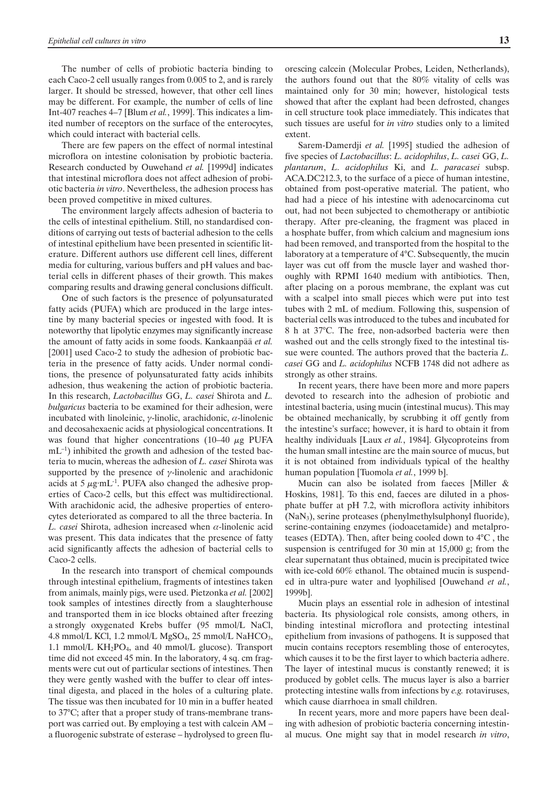The number of cells of probiotic bacteria binding to each Caco-2 cell usually ranges from 0.005 to 2, and is rarely larger. It should be stressed, however, that other cell lines may be different. For example, the number of cells of line Int-407 reaches 4–7 [Blum *et al.*, 1999]. This indicates a limited number of receptors on the surface of the enterocytes, which could interact with bacterial cells.

There are few papers on the effect of normal intestinal microflora on intestine colonisation by probiotic bacteria. Research conducted by Ouwehand *et al.* [1999d] indicates that intestinal microflora does not affect adhesion of probiotic bacteria *in vitro*. Nevertheless, the adhesion process has been proved competitive in mixed cultures.

The environment largely affects adhesion of bacteria to the cells of intestinal epithelium. Still, no standardised conditions of carrying out tests of bacterial adhesion to the cells of intestinal epithelium have been presented in scientific literature. Different authors use different cell lines, different media for culturing, various buffers and pH values and bacterial cells in different phases of their growth. This makes comparing results and drawing general conclusions difficult.

One of such factors is the presence of polyunsaturated fatty acids (PUFA) which are produced in the large intestine by many bacterial species or ingested with food. It is noteworthy that lipolytic enzymes may significantly increase the amount of fatty acids in some foods. Kankaanpää *et al.* [2001] used Caco-2 to study the adhesion of probiotic bacteria in the presence of fatty acids. Under normal conditions, the presence of polyunsaturated fatty acids inhibits adhesion, thus weakening the action of probiotic bacteria. In this research, *Lactobacillus* GG, *L. casei* Shirota and *L. bulgaricus* bacteria to be examined for their adhesion, were incubated with linoleinic,  $\gamma$ -linolic, arachidonic,  $\alpha$ -linolenic and decosahexaenic acids at physiological concentrations. It was found that higher concentrations (10–40  $\mu$ g PUFA  $mL^{-1}$ ) inhibited the growth and adhesion of the tested bacteria to mucin, whereas the adhesion of *L. casei* Shirota was supported by the presence of  $\gamma$ -linolenic and arachidonic acids at 5  $\mu$ g·mL<sup>-1</sup>. PUFA also changed the adhesive properties of Caco-2 cells, but this effect was multidirectional. With arachidonic acid, the adhesive properties of enterocytes deteriorated as compared to all the three bacteria. In  $L. \, casei$  Shirota, adhesion increased when  $\alpha$ -linolenic acid was present. This data indicates that the presence of fatty acid significantly affects the adhesion of bacterial cells to Caco-2 cells.

In the research into transport of chemical compounds through intestinal epithelium, fragments of intestines taken from animals, mainly pigs, were used. Pietzonka *et al.* [2002] took samples of intestines directly from a slaughterhouse and transported them in ice blocks obtained after freezing a strongly oxygenated Krebs buffer (95 mmol/L NaCl, 4.8 mmol/L KCl, 1.2 mmol/L MgSO<sub>4</sub>, 25 mmol/L NaHCO<sub>3</sub>, 1.1 mmol/L  $KH_2PO_4$ , and 40 mmol/L glucose). Transport time did not exceed 45 min. In the laboratory, 4 sq. cm fragments were cut out of particular sections of intestines. Then they were gently washed with the buffer to clear off intestinal digesta, and placed in the holes of a culturing plate. The tissue was then incubated for 10 min in a buffer heated to 37°C; after that a proper study of trans-membrane transport was carried out. By employing a test with calcein AM – a fluorogenic substrate of esterase – hydrolysed to green fluorescing calcein (Molecular Probes, Leiden, Netherlands), the authors found out that the 80% vitality of cells was maintained only for 30 min; however, histological tests showed that after the explant had been defrosted, changes in cell structure took place immediately. This indicates that such tissues are useful for *in vitro* studies only to a limited extent.

Sarem-Damerdji *et al.* [1995] studied the adhesion of five species of *Lactobacillus*: *L. acidophilus*, *L. casei* GG, *L. plantarum*, *L. acidophilus* Ki, and *L. paracasei* subsp. ACA.DC212.3, to the surface of a piece of human intestine, obtained from post-operative material. The patient, who had had a piece of his intestine with adenocarcinoma cut out, had not been subjected to chemotherapy or antibiotic therapy. After pre-cleaning, the fragment was placed in a hosphate buffer, from which calcium and magnesium ions had been removed, and transported from the hospital to the laboratory at a temperature of 4°C. Subsequently, the mucin layer was cut off from the muscle layer and washed thoroughly with RPMI 1640 medium with antibiotics. Then, after placing on a porous membrane, the explant was cut with a scalpel into small pieces which were put into test tubes with 2 mL of medium. Following this, suspension of bacterial cells was introduced to the tubes and incubated for 8 h at 37°C. The free, non-adsorbed bacteria were then washed out and the cells strongly fixed to the intestinal tissue were counted. The authors proved that the bacteria *L. casei* GG and *L. acidophilus* NCFB 1748 did not adhere as strongly as other strains.

In recent years, there have been more and more papers devoted to research into the adhesion of probiotic and intestinal bacteria, using mucin (intestinal mucus). This may be obtained mechanically, by scrubbing it off gently from the intestine's surface; however, it is hard to obtain it from healthy individuals [Laux *et al.*, 1984]. Glycoproteins from the human small intestine are the main source of mucus, but it is not obtained from individuals typical of the healthy human population [Tuomola *et al.*, 1999 b].

Mucin can also be isolated from faeces [Miller & Hoskins, 1981]. To this end, faeces are diluted in a phosphate buffer at pH 7.2, with microflora activity inhibitors (NaN3), serine proteases (phenylmethylsulphonyl fluoride), serine-containing enzymes (iodoacetamide) and metalproteases (EDTA). Then, after being cooled down to 4°C , the suspension is centrifuged for 30 min at 15,000 g; from the clear supernatant thus obtained, mucin is precipitated twice with ice-cold 60% ethanol. The obtained mucin is suspended in ultra-pure water and lyophilised [Ouwehand *et al.*, 1999b].

Mucin plays an essential role in adhesion of intestinal bacteria. Its physiological role consists, among others, in binding intestinal microflora and protecting intestinal epithelium from invasions of pathogens. It is supposed that mucin contains receptors resembling those of enterocytes, which causes it to be the first layer to which bacteria adhere. The layer of intestinal mucus is constantly renewed; it is produced by goblet cells. The mucus layer is also a barrier protecting intestine walls from infections by *e.g.* rotaviruses, which cause diarrhoea in small children.

In recent years, more and more papers have been dealing with adhesion of probiotic bacteria concerning intestinal mucus. One might say that in model research *in vitro*,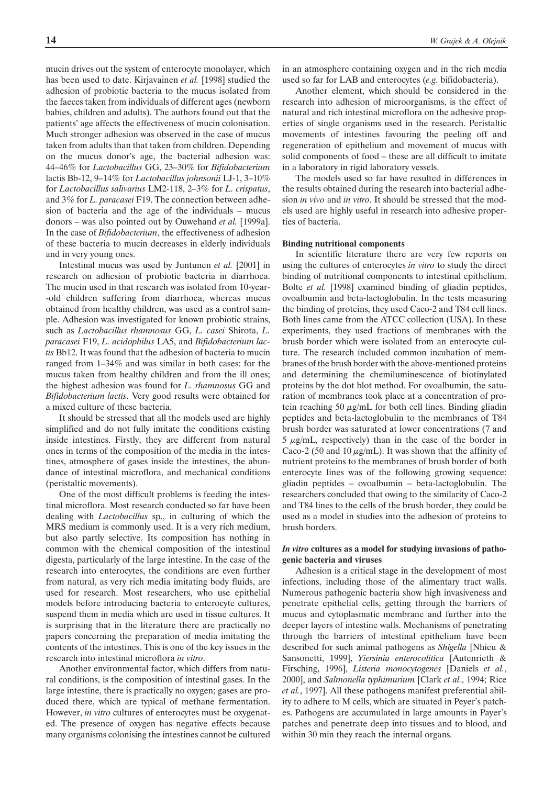mucin drives out the system of enterocyte monolayer, which has been used to date. Kirjavainen *et al.* [1998] studied the adhesion of probiotic bacteria to the mucus isolated from the faeces taken from individuals of different ages (newborn babies, children and adults). The authors found out that the patients' age affects the effectiveness of mucin colonisation. Much stronger adhesion was observed in the case of mucus taken from adults than that taken from children. Depending on the mucus donor's age, the bacterial adhesion was: 44–46% for *Lactobacillus* GG, 23–30% for *Bifidobacterium* lactis Bb-12, 9–14% for *Lactobacillus johnsonii* LJ-1, 3–10% for *Lactobacillus salivarius* LM2-118, 2–3% for *L. crispatus*, and 3% for *L. paracasei* F19. The connection between adhesion of bacteria and the age of the individuals – mucus donors – was also pointed out by Ouwehand *et al.* [1999a]. In the case of *Bifidobacterium*, the effectiveness of adhesion of these bacteria to mucin decreases in elderly individuals and in very young ones.

Intestinal mucus was used by Juntunen *et al.* [2001] in research on adhesion of probiotic bacteria in diarrhoea. The mucin used in that research was isolated from 10-year- -old children suffering from diarrhoea, whereas mucus obtained from healthy children, was used as a control sample. Adhesion was investigated for known probiotic strains, such as *Lactobacillus rhamnosus* GG, *L. casei* Shirota, *L. paracasei* F19, *L. acidophilus* LA5, and *Bifidobacterium lactis* Bb12. It was found that the adhesion of bacteria to mucin ranged from 1–34% and was similar in both cases: for the mucus taken from healthy children and from the ill ones; the highest adhesion was found for *L. rhamnosus* GG and *Bifidobacterium lactis*. Very good results were obtained for a mixed culture of these bacteria.

It should be stressed that all the models used are highly simplified and do not fully imitate the conditions existing inside intestines. Firstly, they are different from natural ones in terms of the composition of the media in the intestines, atmosphere of gases inside the intestines, the abundance of intestinal microflora, and mechanical conditions (peristaltic movements).

One of the most difficult problems is feeding the intestinal microflora. Most research conducted so far have been dealing with *Lactobacillus* sp., in culturing of which the MRS medium is commonly used. It is a very rich medium, but also partly selective. Its composition has nothing in common with the chemical composition of the intestinal digesta, particularly of the large intestine. In the case of the research into enterocytes, the conditions are even further from natural, as very rich media imitating body fluids, are used for research. Most researchers, who use epithelial models before introducing bacteria to enterocyte cultures, suspend them in media which are used in tissue cultures. It is surprising that in the literature there are practically no papers concerning the preparation of media imitating the contents of the intestines. This is one of the key issues in the research into intestinal microflora *in vitro*.

Another environmental factor, which differs from natural conditions, is the composition of intestinal gases. In the large intestine, there is practically no oxygen; gases are produced there, which are typical of methane fermentation. However, *in vitro* cultures of enterocytes must be oxygenated. The presence of oxygen has negative effects because many organisms colonising the intestines cannot be cultured in an atmosphere containing oxygen and in the rich media used so far for LAB and enterocytes (*e.g.* bifidobacteria).

Another element, which should be considered in the research into adhesion of microorganisms, is the effect of natural and rich intestinal microflora on the adhesive properties of single organisms used in the research. Peristaltic movements of intestines favouring the peeling off and regeneration of epithelium and movement of mucus with solid components of food – these are all difficult to imitate in a laboratory in rigid laboratory vessels.

The models used so far have resulted in differences in the results obtained during the research into bacterial adhesion *in vivo* and *in vitro*. It should be stressed that the models used are highly useful in research into adhesive properties of bacteria.

### **Binding nutritional components**

In scientific literature there are very few reports on using the cultures of enterocytes *in vitro* to study the direct binding of nutritional components to intestinal epithelium. Bolte *et al.* [1998] examined binding of gliadin peptides, ovoalbumin and beta-lactoglobulin. In the tests measuring the binding of proteins, they used Caco-2 and T84 cell lines. Both lines came from the ATCC collection (USA). In these experiments, they used fractions of membranes with the brush border which were isolated from an enterocyte culture. The research included common incubation of membranes of the brush border with the above-mentioned proteins and determining the chemiluminescence of biotinylated proteins by the dot blot method. For ovoalbumin, the saturation of membranes took place at a concentration of protein reaching 50  $\mu$ g/mL for both cell lines. Binding gliadin peptides and beta-lactoglobulin to the membranes of T84 brush border was saturated at lower concentrations (7 and  $5 \mu g/mL$ , respectively) than in the case of the border in Caco-2 (50 and 10  $\mu$ g/mL). It was shown that the affinity of nutrient proteins to the membranes of brush border of both enterocyte lines was of the following growing sequence: gliadin peptides – ovoalbumin – beta-lactoglobulin. The researchers concluded that owing to the similarity of Caco-2 and T84 lines to the cells of the brush border, they could be used as a model in studies into the adhesion of proteins to brush borders.

### *In vitro* **cultures as a model for studying invasions of pathogenic bacteria and viruses**

Adhesion is a critical stage in the development of most infections, including those of the alimentary tract walls. Numerous pathogenic bacteria show high invasiveness and penetrate epithelial cells, getting through the barriers of mucus and cytoplasmatic membrane and further into the deeper layers of intestine walls. Mechanisms of penetrating through the barriers of intestinal epithelium have been described for such animal pathogens as *Shigella* [Nhieu & Sansonetti, 1999], *Yiersinia enterocolitica* [Autenrieth & Firsching, 1996], *Listeria monocytogenes* [Daniels *et al.*, 2000], and *Salmonella typhimurium* [Clark *et al.*, 1994; Rice *et al.*, 1997]. All these pathogens manifest preferential ability to adhere to M cells, which are situated in Peyer's patches. Pathogens are accumulated in large amounts in Payer's patches and penetrate deep into tissues and to blood, and within 30 min they reach the internal organs.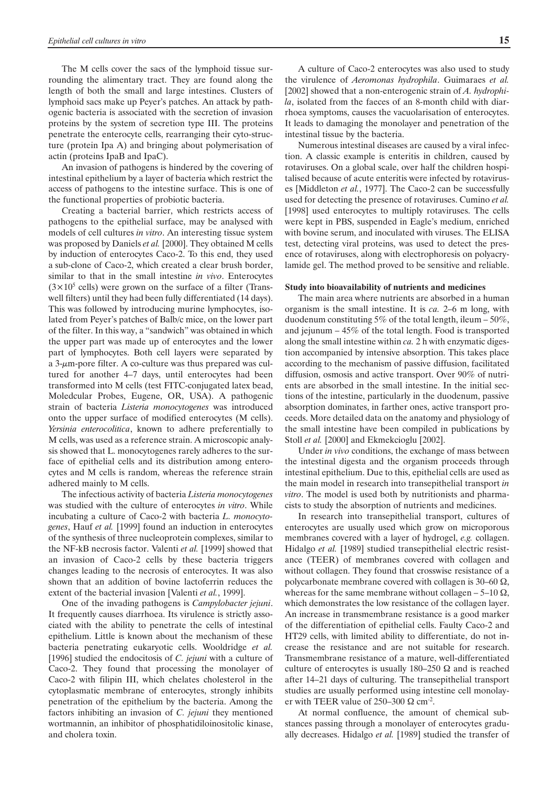The M cells cover the sacs of the lymphoid tissue surrounding the alimentary tract. They are found along the length of both the small and large intestines. Clusters of lymphoid sacs make up Peyer's patches. An attack by pathogenic bacteria is associated with the secretion of invasion proteins by the system of secretion type III. The proteins penetrate the enterocyte cells, rearranging their cyto-structure (protein Ipa A) and bringing about polymerisation of actin (proteins IpaB and IpaC).

An invasion of pathogens is hindered by the covering of intestinal epithelium by a layer of bacteria which restrict the access of pathogens to the intestine surface. This is one of the functional properties of probiotic bacteria.

Creating a bacterial barrier, which restricts access of pathogens to the epithelial surface, may be analysed with models of cell cultures *in vitro*. An interesting tissue system was proposed by Daniels *et al.* [2000]. They obtained M cells by induction of enterocytes Caco-2. To this end, they used a sub-clone of Caco-2, which created a clear brush border, similar to that in the small intestine *in vivo*. Enterocytes  $(3\times10^5 \text{ cells})$  were grown on the surface of a filter (Transwell filters) until they had been fully differentiated (14 days). This was followed by introducing murine lymphocytes, isolated from Peyer's patches of Balb/c mice, on the lower part of the filter. In this way, a "sandwich" was obtained in which the upper part was made up of enterocytes and the lower part of lymphocytes. Both cell layers were separated by a 3-µm-pore filter. A co-culture was thus prepared was cultured for another 4–7 days, until enterocytes had been transformed into M cells (test FITC-conjugated latex bead, Moledcular Probes, Eugene, OR, USA). A pathogenic strain of bacteria *Listeria monocytogenes* was introduced onto the upper surface of modified enterocytes (M cells). *Yersinia enterocolitica*, known to adhere preferentially to M cells, was used as a reference strain. A microscopic analysis showed that L. monocytogenes rarely adheres to the surface of epithelial cells and its distribution among enterocytes and M cells is random, whereas the reference strain adhered mainly to M cells.

The infectious activity of bacteria *Listeria monocytogenes* was studied with the culture of enterocytes *in vitro*. While incubating a culture of Caco-2 with bacteria *L. monocytogenes*, Hauf *et al.* [1999] found an induction in enterocytes of the synthesis of three nucleoprotein complexes, similar to the NF-kB necrosis factor. Valenti *et al.* [1999] showed that an invasion of Caco-2 cells by these bacteria triggers changes leading to the necrosis of enterocytes. It was also shown that an addition of bovine lactoferrin reduces the extent of the bacterial invasion [Valenti *et al.*, 1999].

One of the invading pathogens is *Campylobacter jejuni*. It frequently causes diarrhoea. Its virulence is strictly associated with the ability to penetrate the cells of intestinal epithelium. Little is known about the mechanism of these bacteria penetrating eukaryotic cells. Wooldridge *et al.* [1996] studied the endocitosis of *C. jejuni* with a culture of Caco-2. They found that processing the monolayer of Caco-2 with filipin III, which chelates cholesterol in the cytoplasmatic membrane of enterocytes, strongly inhibits penetration of the epithelium by the bacteria. Among the factors inhibiting an invasion of *C. jejuni* they mentioned wortmannin, an inhibitor of phosphatidiloinositolic kinase, and cholera toxin.

A culture of Caco-2 enterocytes was also used to study the virulence of *Aeromonas hydrophila*. Guimaraes *et al.* [2002] showed that a non-enterogenic strain of *A. hydrophila*, isolated from the faeces of an 8-month child with diarrhoea symptoms, causes the vacuolarisation of enterocytes. It leads to damaging the monolayer and penetration of the intestinal tissue by the bacteria.

Numerous intestinal diseases are caused by a viral infection. A classic example is enteritis in children, caused by rotaviruses. On a global scale, over half the children hospitalised because of acute enteritis were infected by rotaviruses [Middleton *et al.*, 1977]. The Caco-2 can be successfully used for detecting the presence of rotaviruses. Cumino *et al.* [1998] used enterocytes to multiply rotaviruses. The cells were kept in PBS, suspended in Eagle's medium, enriched with bovine serum, and inoculated with viruses. The ELISA test, detecting viral proteins, was used to detect the presence of rotaviruses, along with electrophoresis on polyacrylamide gel. The method proved to be sensitive and reliable.

#### **Study into bioavailability of nutrients and medicines**

The main area where nutrients are absorbed in a human organism is the small intestine. It is *ca.* 2–6 m long, with duodenum constituting 5% of the total length, ileum – 50%, and jejunum – 45% of the total length. Food is transported along the small intestine within *ca.* 2 h with enzymatic digestion accompanied by intensive absorption. This takes place according to the mechanism of passive diffusion, facilitated diffusion, osmosis and active transport. Over 90% of nutrients are absorbed in the small intestine. In the initial sections of the intestine, particularly in the duodenum, passive absorption dominates, in farther ones, active transport proceeds. More detailed data on the anatomy and physiology of the small intestine have been compiled in publications by Stoll *et al.* [2000] and Ekmekcioglu [2002].

Under *in vivo* conditions, the exchange of mass between the intestinal digesta and the organism proceeds through intestinal epithelium. Due to this, epithelial cells are used as the main model in research into transepithelial transport *in vitro*. The model is used both by nutritionists and pharmacists to study the absorption of nutrients and medicines.

In research into transepithelial transport, cultures of enterocytes are usually used which grow on microporous membranes covered with a layer of hydrogel, *e.g.* collagen. Hidalgo *et al.* [1989] studied transepithelial electric resistance (TEER) of membranes covered with collagen and without collagen. They found that crosswise resistance of a polycarbonate membrane covered with collagen is 30–60  $\Omega$ , whereas for the same membrane without collagen – 5–10  $\Omega$ , which demonstrates the low resistance of the collagen layer. An increase in transmembrane resistance is a good marker of the differentiation of epithelial cells. Faulty Caco-2 and HT29 cells, with limited ability to differentiate, do not increase the resistance and are not suitable for research. Transmembrane resistance of a mature, well-differentiated culture of enterocytes is usually 180–250  $\Omega$  and is reached after 14–21 days of culturing. The transepithelial transport studies are usually performed using intestine cell monolayer with TEER value of  $250-300 \Omega \text{ cm}^2$ .

At normal confluence, the amount of chemical substances passing through a monolayer of enterocytes gradually decreases. Hidalgo *et al.* [1989] studied the transfer of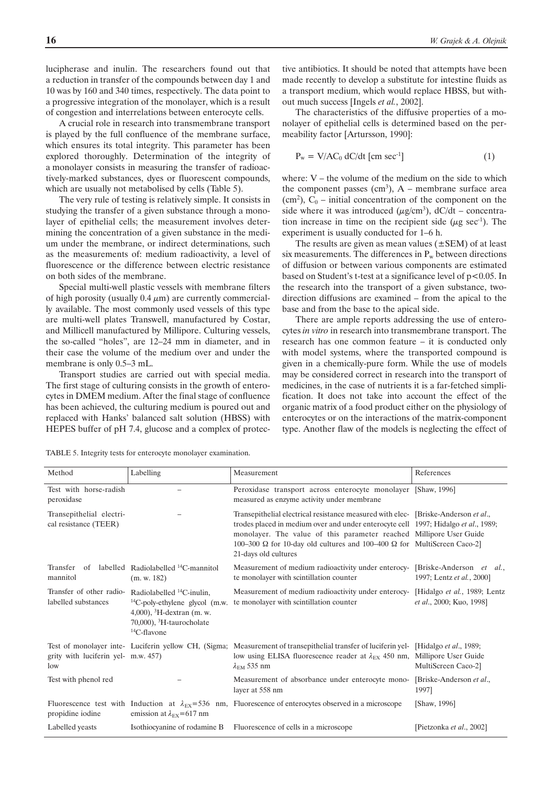lucipherase and inulin. The researchers found out that a reduction in transfer of the compounds between day 1 and 10 was by 160 and 340 times, respectively. The data point to a progressive integration of the monolayer, which is a result of congestion and interrelations between enterocyte cells.

A crucial role in research into transmembrane transport is played by the full confluence of the membrane surface, which ensures its total integrity. This parameter has been explored thoroughly. Determination of the integrity of a monolayer consists in measuring the transfer of radioactively-marked substances, dyes or fluorescent compounds, which are usually not metabolised by cells (Table 5).

The very rule of testing is relatively simple. It consists in studying the transfer of a given substance through a monolayer of epithelial cells; the measurement involves determining the concentration of a given substance in the medium under the membrane, or indirect determinations, such as the measurements of: medium radioactivity, a level of fluorescence or the difference between electric resistance on both sides of the membrane.

Special multi-well plastic vessels with membrane filters of high porosity (usually  $0.4 \mu m$ ) are currently commercially available. The most commonly used vessels of this type are multi-well plates Transwell, manufactured by Costar, and Millicell manufactured by Millipore. Culturing vessels, the so-called "holes", are 12–24 mm in diameter, and in their case the volume of the medium over and under the membrane is only 0.5–3 mL.

Transport studies are carried out with special media. The first stage of culturing consists in the growth of enterocytes in DMEM medium. After the final stage of confluence has been achieved, the culturing medium is poured out and replaced with Hanks' balanced salt solution (HBSS) with HEPES buffer of pH 7.4, glucose and a complex of protective antibiotics. It should be noted that attempts have been made recently to develop a substitute for intestine fluids as a transport medium, which would replace HBSS, but without much success [Ingels *et al.*, 2002].

The characteristics of the diffusive properties of a monolayer of epithelial cells is determined based on the permeability factor [Artursson, 1990]:

$$
P_w = V/AC_0 dC/dt \, \text{[cm sec$^{-1}$]}
$$
 (1)

where:  $V$  – the volume of the medium on the side to which the component passes  $(cm<sup>3</sup>)$ , A – membrane surface area  $(cm<sup>2</sup>)$ ,  $C<sub>0</sub>$  – initial concentration of the component on the side where it was introduced  $(\mu g/cm^3)$ , dC/dt – concentration increase in time on the recipient side ( $\mu$ g sec<sup>-1</sup>). The experiment is usually conducted for 1–6 h.

The results are given as mean values  $(\pm$ SEM) of at least six measurements. The differences in  $P_w$  between directions of diffusion or between various components are estimated based on Student's t-test at a significance level of  $p<0.05$ . In the research into the transport of a given substance, twodirection diffusions are examined – from the apical to the base and from the base to the apical side.

There are ample reports addressing the use of enterocytes *in vitro* in research into transmembrane transport. The research has one common feature – it is conducted only with model systems, where the transported compound is given in a chemically-pure form. While the use of models may be considered correct in research into the transport of medicines, in the case of nutrients it is a far-fetched simplification. It does not take into account the effect of the organic matrix of a food product either on the physiology of enterocytes or on the interactions of the matrix-component type. Another flaw of the models is neglecting the effect of

| Method                                            | Labelling                                                                                                                                                                | Measurement                                                                                                                                                                                                                                                                                                                                        | References                                                            |
|---------------------------------------------------|--------------------------------------------------------------------------------------------------------------------------------------------------------------------------|----------------------------------------------------------------------------------------------------------------------------------------------------------------------------------------------------------------------------------------------------------------------------------------------------------------------------------------------------|-----------------------------------------------------------------------|
| Test with horse-radish<br>peroxidase              |                                                                                                                                                                          | Peroxidase transport across enterocyte monolayer [Shaw, 1996]<br>measured as enzyme activity under membrane                                                                                                                                                                                                                                        |                                                                       |
| Transepithelial electri-<br>cal resistance (TEER) |                                                                                                                                                                          | Transepithelial electrical resistance measured with elec- [Briske-Anderson et al.,<br>trodes placed in medium over and under enterocyte cell 1997; Hidalgo et al., 1989;<br>monolayer. The value of this parameter reached Millipore User Guide<br>100–300 Ω for 10-day old cultures and 100–400 Ω for MultiScreen Caco-2]<br>21-days old cultures |                                                                       |
| mannitol                                          | Transfer of labelled Radiolabelled <sup>14</sup> C-mannitol<br>(m. w. 182)                                                                                               | Measurement of medium radioactivity under enterocy-<br>te monolayer with scintillation counter                                                                                                                                                                                                                                                     | [Briske-Anderson et al.,<br>1997; Lentz et al., 2000]                 |
| Transfer of other radio-<br>labelled substances   | Radiolabelled <sup>14</sup> C-inulin,<br>$^{14}$ C-poly-ethylene glycol (m.w.<br>4,000), ${}^{3}H$ -dextran (m. w.<br>70,000), ${}^{3}$ H-taurocholate<br>$14C$ -flavone | Measurement of medium radioactivity under enterocy-<br>te monolayer with scintillation counter                                                                                                                                                                                                                                                     | [Hidalgo et al., 1989; Lentz]<br>et al., 2000; Kuo, 1998]             |
| grity with luciferin yel- m.w. 457)<br>low        |                                                                                                                                                                          | Test of monolayer inte- Luciferin yellow CH, (Sigma; Measurement of transepithelial transfer of luciferin yel-<br>low using ELISA fluorescence reader at $\lambda_{EX}$ 450 nm,<br>$\lambda_{\text{EM}}$ 535 nm                                                                                                                                    | [Hidalgo et al., 1989;<br>Millipore User Guide<br>MultiScreen Caco-2] |
| Test with phenol red                              |                                                                                                                                                                          | Measurement of absorbance under enterocyte mono-<br>layer at 558 nm                                                                                                                                                                                                                                                                                | [Briske-Anderson et al.,<br>1997]                                     |
| propidine iodine                                  | emission at $\lambda_{\text{EX}}$ =617 nm                                                                                                                                | Fluorescence test with Induction at $\lambda_{\text{EX}}$ =536 nm, Fluorescence of enterocytes observed in a microscope                                                                                                                                                                                                                            | [Shaw, 1996]                                                          |
| Labelled yeasts                                   | Isothiocyanine of rodamine B                                                                                                                                             | Fluorescence of cells in a microscope                                                                                                                                                                                                                                                                                                              | [Pietzonka et al., 2002]                                              |

TABLE 5. Integrity tests for enterocyte monolayer examination.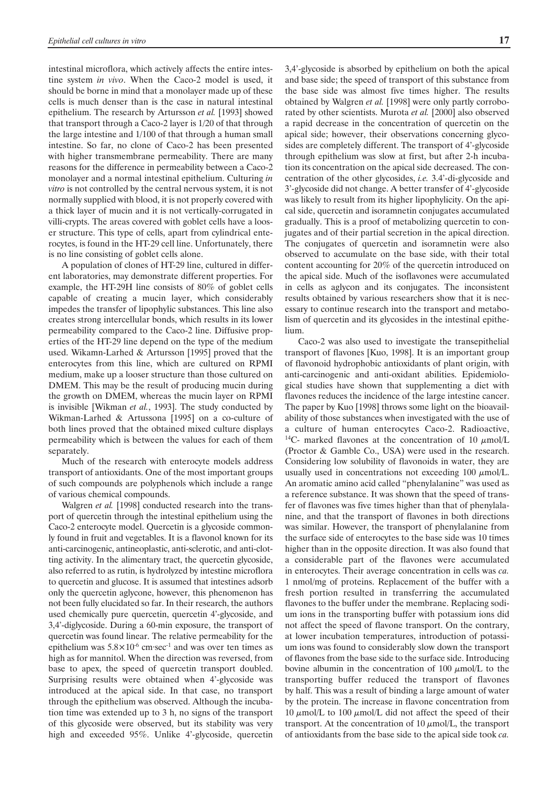intestinal microflora, which actively affects the entire intestine system *in vivo*. When the Caco-2 model is used, it should be borne in mind that a monolayer made up of these cells is much denser than is the case in natural intestinal epithelium. The research by Artursson *et al.* [1993] showed that transport through a Caco-2 layer is 1/20 of that through the large intestine and 1/100 of that through a human small intestine. So far, no clone of Caco-2 has been presented with higher transmembrane permeability. There are many reasons for the difference in permeability between a Caco-2 monolayer and a normal intestinal epithelium. Culturing *in vitro* is not controlled by the central nervous system, it is not normally supplied with blood, it is not properly covered with a thick layer of mucin and it is not vertically-corrugated in villi-crypts. The areas covered with goblet cells have a looser structure. This type of cells, apart from cylindrical enterocytes, is found in the HT-29 cell line. Unfortunately, there is no line consisting of goblet cells alone.

A population of clones of HT-29 line, cultured in different laboratories, may demonstrate different properties. For example, the HT-29H line consists of 80% of goblet cells capable of creating a mucin layer, which considerably impedes the transfer of lipophylic substances. This line also creates strong intercellular bonds, which results in its lower permeability compared to the Caco-2 line. Diffusive properties of the HT-29 line depend on the type of the medium used. Wikamn-Larhed & Artursson [1995] proved that the enterocytes from this line, which are cultured on RPMI medium, make up a looser structure than those cultured on DMEM. This may be the result of producing mucin during the growth on DMEM, whereas the mucin layer on RPMI is invisible [Wikman *et al.*, 1993]. The study conducted by Wikman-Larhed & Artussona [1995] on a co-culture of both lines proved that the obtained mixed culture displays permeability which is between the values for each of them separately.

Much of the research with enterocyte models address transport of antioxidants. One of the most important groups of such compounds are polyphenols which include a range of various chemical compounds.

Walgren *et al.* [1998] conducted research into the transport of quercetin through the intestinal epithelium using the Caco-2 enterocyte model. Quercetin is a glycoside commonly found in fruit and vegetables. It is a flavonol known for its anti-carcinogenic, antineoplastic, anti-sclerotic, and anti-clotting activity. In the alimentary tract, the quercetin glycoside, also referred to as rutin, is hydrolyzed by intestine microflora to quercetin and glucose. It is assumed that intestines adsorb only the quercetin aglycone, however, this phenomenon has not been fully elucidated so far. In their research, the authors used chemically pure quercetin, quercetin 4'-glycoside, and 3,4'-diglycoside. During a 60-min exposure, the transport of quercetin was found linear. The relative permeability for the epithelium was  $5.8 \times 10^{-6}$  cm·sec<sup>-1</sup> and was over ten times as high as for mannitol. When the direction was reversed, from base to apex, the speed of quercetin transport doubled. Surprising results were obtained when 4'-glycoside was introduced at the apical side. In that case, no transport through the epithelium was observed. Although the incubation time was extended up to 3 h, no signs of the transport of this glycoside were observed, but its stability was very high and exceeded 95%. Unlike 4'-glycoside, quercetin 3,4'-glycoside is absorbed by epithelium on both the apical and base side; the speed of transport of this substance from the base side was almost five times higher. The results obtained by Walgren *et al.* [1998] were only partly corroborated by other scientists. Murota *et al.* [2000] also observed a rapid decrease in the concentration of quercetin on the apical side; however, their observations concerning glycosides are completely different. The transport of 4'-glycoside through epithelium was slow at first, but after 2-h incubation its concentration on the apical side decreased. The concentration of the other glycosides, *i.e.* 3.4'-di-glycoside and 3'-glycoside did not change. A better transfer of 4'-glycoside was likely to result from its higher lipophylicity. On the apical side, quercetin and isoramnetin conjugates accumulated gradually. This is a proof of metabolizing quercetin to conjugates and of their partial secretion in the apical direction. The conjugates of quercetin and isoramnetin were also observed to accumulate on the base side, with their total content accounting for 20% of the quercetin introduced on the apical side. Much of the isoflavones were accumulated in cells as aglycon and its conjugates. The inconsistent results obtained by various researchers show that it is necessary to continue research into the transport and metabolism of quercetin and its glycosides in the intestinal epithelium.

Caco-2 was also used to investigate the transepithelial transport of flavones [Kuo, 1998]. It is an important group of flavonoid hydrophobic antioxidants of plant origin, with anti-carcinogenic and anti-oxidant abilities. Epidemiological studies have shown that supplementing a diet with flavones reduces the incidence of the large intestine cancer. The paper by Kuo [1998] throws some light on the bioavailability of those substances when investigated with the use of a culture of human enterocytes Caco-2. Radioactive, <sup>14</sup>C- marked flavones at the concentration of 10  $\mu$ mol/L (Proctor & Gamble Co., USA) were used in the research. Considering low solubility of flavonoids in water, they are usually used in concentrations not exceeding 100  $\mu$ mol/L. An aromatic amino acid called "phenylalanine" was used as a reference substance. It was shown that the speed of transfer of flavones was five times higher than that of phenylalanine, and that the transport of flavones in both directions was similar. However, the transport of phenylalanine from the surface side of enterocytes to the base side was 10 times higher than in the opposite direction. It was also found that a considerable part of the flavones were accumulated in enterocytes. Their average concentration in cells was *ca.* 1 nmol/mg of proteins. Replacement of the buffer with a fresh portion resulted in transferring the accumulated flavones to the buffer under the membrane. Replacing sodium ions in the transporting buffer with potassium ions did not affect the speed of flavone transport. On the contrary, at lower incubation temperatures, introduction of potassium ions was found to considerably slow down the transport of flavones from the base side to the surface side. Introducing bovine albumin in the concentration of 100  $\mu$ mol/L to the transporting buffer reduced the transport of flavones by half. This was a result of binding a large amount of water by the protein. The increase in flavone concentration from 10  $\mu$ mol/L to 100  $\mu$ mol/L did not affect the speed of their transport. At the concentration of 10  $\mu$ mol/L, the transport of antioxidants from the base side to the apical side took *ca.*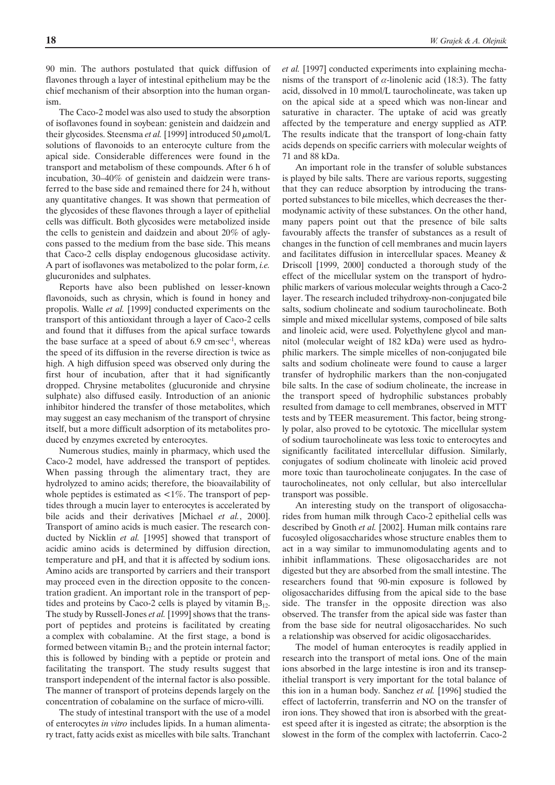90 min. The authors postulated that quick diffusion of flavones through a layer of intestinal epithelium may be the chief mechanism of their absorption into the human organism.

The Caco-2 model was also used to study the absorption of isoflavones found in soybean: genistein and daidzein and their glycosides. Steensma *et al.* [1999] introduced 50  $\mu$ mol/L solutions of flavonoids to an enterocyte culture from the apical side. Considerable differences were found in the transport and metabolism of these compounds. After 6 h of incubation, 30–40% of genistein and daidzein were transferred to the base side and remained there for 24 h, without any quantitative changes. It was shown that permeation of the glycosides of these flavones through a layer of epithelial cells was difficult. Both glycosides were metabolized inside the cells to genistein and daidzein and about 20% of aglycons passed to the medium from the base side. This means that Caco-2 cells display endogenous glucosidase activity. A part of isoflavones was metabolized to the polar form, *i.e.* glucuronides and sulphates.

Reports have also been published on lesser-known flavonoids, such as chrysin, which is found in honey and propolis. Walle *et al.* [1999] conducted experiments on the transport of this antioxidant through a layer of Caco-2 cells and found that it diffuses from the apical surface towards the base surface at a speed of about  $6.9 \, \text{cm} \cdot \text{sec}^{-1}$ , whereas the speed of its diffusion in the reverse direction is twice as high. A high diffusion speed was observed only during the first hour of incubation, after that it had significantly dropped. Chrysine metabolites (glucuronide and chrysine sulphate) also diffused easily. Introduction of an anionic inhibitor hindered the transfer of those metabolites, which may suggest an easy mechanism of the transport of chrysine itself, but a more difficult adsorption of its metabolites produced by enzymes excreted by enterocytes.

Numerous studies, mainly in pharmacy, which used the Caco-2 model, have addressed the transport of peptides. When passing through the alimentary tract, they are hydrolyzed to amino acids; therefore, the bioavailability of whole peptides is estimated as  $\langle 1\% \rangle$ . The transport of peptides through a mucin layer to enterocytes is accelerated by bile acids and their derivatives [Michael *et al.*, 2000]. Transport of amino acids is much easier. The research conducted by Nicklin *et al.* [1995] showed that transport of acidic amino acids is determined by diffusion direction, temperature and pH, and that it is affected by sodium ions. Amino acids are transported by carriers and their transport may proceed even in the direction opposite to the concentration gradient. An important role in the transport of peptides and proteins by Caco-2 cells is played by vitamin  $B_{12}$ . The study by Russell-Jones *et al.* [1999] shows that the transport of peptides and proteins is facilitated by creating a complex with cobalamine. At the first stage, a bond is formed between vitamin  $B_{12}$  and the protein internal factor; this is followed by binding with a peptide or protein and facilitating the transport. The study results suggest that transport independent of the internal factor is also possible. The manner of transport of proteins depends largely on the concentration of cobalamine on the surface of micro-villi.

The study of intestinal transport with the use of a model of enterocytes *in vitro* includes lipids. In a human alimentary tract, fatty acids exist as micelles with bile salts. Tranchant *et al.* [1997] conducted experiments into explaining mechanisms of the transport of  $\alpha$ -linolenic acid (18:3). The fatty acid, dissolved in 10 mmol/L taurocholineate, was taken up on the apical side at a speed which was non-linear and saturative in character. The uptake of acid was greatly affected by the temperature and energy supplied as ATP. The results indicate that the transport of long-chain fatty acids depends on specific carriers with molecular weights of 71 and 88 kDa.

An important role in the transfer of soluble substances is played by bile salts. There are various reports, suggesting that they can reduce absorption by introducing the transported substances to bile micelles, which decreases the thermodynamic activity of these substances. On the other hand, many papers point out that the presence of bile salts favourably affects the transfer of substances as a result of changes in the function of cell membranes and mucin layers and facilitates diffusion in intercellular spaces. Meaney & Driscoll [1999, 2000] conducted a thorough study of the effect of the micellular system on the transport of hydrophilic markers of various molecular weights through a Caco-2 layer. The research included trihydroxy-non-conjugated bile salts, sodium cholineate and sodium taurocholineate. Both simple and mixed micellular systems, composed of bile salts and linoleic acid, were used. Polyethylene glycol and mannitol (molecular weight of 182 kDa) were used as hydrophilic markers. The simple micelles of non-conjugated bile salts and sodium cholineate were found to cause a larger transfer of hydrophilic markers than the non-conjugated bile salts. In the case of sodium cholineate, the increase in the transport speed of hydrophilic substances probably resulted from damage to cell membranes, observed in MTT tests and by TEER measurement. This factor, being strongly polar, also proved to be cytotoxic. The micellular system of sodium taurocholineate was less toxic to enterocytes and significantly facilitated intercellular diffusion. Similarly, conjugates of sodium cholineate with linoleic acid proved more toxic than taurocholineate conjugates. In the case of taurocholineates, not only cellular, but also intercellular transport was possible.

An interesting study on the transport of oligosaccharides from human milk through Caco-2 epithelial cells was described by Gnoth *et al.* [2002]. Human milk contains rare fucosyled oligosaccharides whose structure enables them to act in a way similar to immunomodulating agents and to inhibit inflammations. These oligosaccharides are not digested but they are absorbed from the small intestine. The researchers found that 90-min exposure is followed by oligosaccharides diffusing from the apical side to the base side. The transfer in the opposite direction was also observed. The transfer from the apical side was faster than from the base side for neutral oligosaccharides. No such a relationship was observed for acidic oligosaccharides.

The model of human enterocytes is readily applied in research into the transport of metal ions. One of the main ions absorbed in the large intestine is iron and its transepithelial transport is very important for the total balance of this ion in a human body. Sanchez *et al.* [1996] studied the effect of lactoferrin, transferrin and NO on the transfer of iron ions. They showed that iron is absorbed with the greatest speed after it is ingested as citrate; the absorption is the slowest in the form of the complex with lactoferrin. Caco-2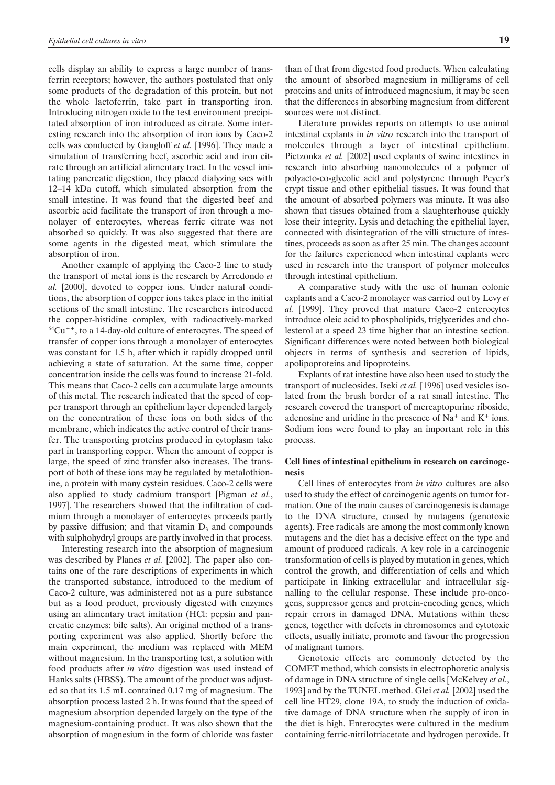cells display an ability to express a large number of transferrin receptors; however, the authors postulated that only some products of the degradation of this protein, but not the whole lactoferrin, take part in transporting iron. Introducing nitrogen oxide to the test environment precipitated absorption of iron introduced as citrate. Some interesting research into the absorption of iron ions by Caco-2 cells was conducted by Gangloff *et al.* [1996]. They made a simulation of transferring beef, ascorbic acid and iron citrate through an artificial alimentary tract. In the vessel imitating pancreatic digestion, they placed dialyzing sacs with 12–14 kDa cutoff, which simulated absorption from the small intestine. It was found that the digested beef and ascorbic acid facilitate the transport of iron through a monolayer of enterocytes, whereas ferric citrate was not absorbed so quickly. It was also suggested that there are some agents in the digested meat, which stimulate the absorption of iron.

Another example of applying the Caco-2 line to study the transport of metal ions is the research by Arredondo *et al.* [2000], devoted to copper ions. Under natural conditions, the absorption of copper ions takes place in the initial sections of the small intestine. The researchers introduced the copper-histidine complex, with radioactively-marked  $64Cu$ <sup>++</sup>, to a 14-day-old culture of enterocytes. The speed of transfer of copper ions through a monolayer of enterocytes was constant for 1.5 h, after which it rapidly dropped until achieving a state of saturation. At the same time, copper concentration inside the cells was found to increase 21-fold. This means that Caco-2 cells can accumulate large amounts of this metal. The research indicated that the speed of copper transport through an epithelium layer depended largely on the concentration of these ions on both sides of the membrane, which indicates the active control of their transfer. The transporting proteins produced in cytoplasm take part in transporting copper. When the amount of copper is large, the speed of zinc transfer also increases. The transport of both of these ions may be regulated by metalothionine, a protein with many cystein residues. Caco-2 cells were also applied to study cadmium transport [Pigman *et al.*, 1997]. The researchers showed that the infiltration of cadmium through a monolayer of enterocytes proceeds partly by passive diffusion; and that vitamin  $D_3$  and compounds with sulphohydryl groups are partly involved in that process.

Interesting research into the absorption of magnesium was described by Planes *et al.* [2002]. The paper also contains one of the rare descriptions of experiments in which the transported substance, introduced to the medium of Caco-2 culture, was administered not as a pure substance but as a food product, previously digested with enzymes using an alimentary tract imitation (HCl: pepsin and pancreatic enzymes: bile salts). An original method of a transporting experiment was also applied. Shortly before the main experiment, the medium was replaced with MEM without magnesium. In the transporting test, a solution with food products after *in vitro* digestion was used instead of Hanks salts (HBSS). The amount of the product was adjusted so that its 1.5 mL contained 0.17 mg of magnesium. The absorption process lasted 2 h. It was found that the speed of magnesium absorption depended largely on the type of the magnesium-containing product. It was also shown that the absorption of magnesium in the form of chloride was faster than of that from digested food products. When calculating the amount of absorbed magnesium in milligrams of cell proteins and units of introduced magnesium, it may be seen that the differences in absorbing magnesium from different sources were not distinct.

Literature provides reports on attempts to use animal intestinal explants in *in vitro* research into the transport of molecules through a layer of intestinal epithelium. Pietzonka *et al.* [2002] used explants of swine intestines in research into absorbing nanomolecules of a polymer of polyacto-co-glycolic acid and polystyrene through Peyer's crypt tissue and other epithelial tissues. It was found that the amount of absorbed polymers was minute. It was also shown that tissues obtained from a slaughterhouse quickly lose their integrity. Lysis and detaching the epithelial layer, connected with disintegration of the villi structure of intestines, proceeds as soon as after 25 min. The changes account for the failures experienced when intestinal explants were used in research into the transport of polymer molecules through intestinal epithelium.

A comparative study with the use of human colonic explants and a Caco-2 monolayer was carried out by Levy *et al.* [1999]. They proved that mature Caco-2 enterocytes introduce oleic acid to phospholipids, triglycerides and cholesterol at a speed 23 time higher that an intestine section. Significant differences were noted between both biological objects in terms of synthesis and secretion of lipids, apolipoproteins and lipoproteins.

Explants of rat intestine have also been used to study the transport of nucleosides. Iseki *et al.* [1996] used vesicles isolated from the brush border of a rat small intestine. The research covered the transport of mercaptopurine riboside, adenosine and uridine in the presence of  $Na<sup>+</sup>$  and  $K<sup>+</sup>$  ions. Sodium ions were found to play an important role in this process.

### **Cell lines of intestinal epithelium in research on carcinogenesis**

Cell lines of enterocytes from *in vitro* cultures are also used to study the effect of carcinogenic agents on tumor formation. One of the main causes of carcinogenesis is damage to the DNA structure, caused by mutagens (genotoxic agents). Free radicals are among the most commonly known mutagens and the diet has a decisive effect on the type and amount of produced radicals. A key role in a carcinogenic transformation of cells is played by mutation in genes, which control the growth, and differentiation of cells and which participate in linking extracellular and intracellular signalling to the cellular response. These include pro-oncogens, suppressor genes and protein-encoding genes, which repair errors in damaged DNA. Mutations within these genes, together with defects in chromosomes and cytotoxic effects, usually initiate, promote and favour the progression of malignant tumors.

Genotoxic effects are commonly detected by the COMET method, which consists in electrophoretic analysis of damage in DNA structure of single cells [McKelvey *et al.*, 1993] and by the TUNEL method. Glei *et al.* [2002] used the cell line HT29, clone 19A, to study the induction of oxidative damage of DNA structure when the supply of iron in the diet is high. Enterocytes were cultured in the medium containing ferric-nitrilotriacetate and hydrogen peroxide. It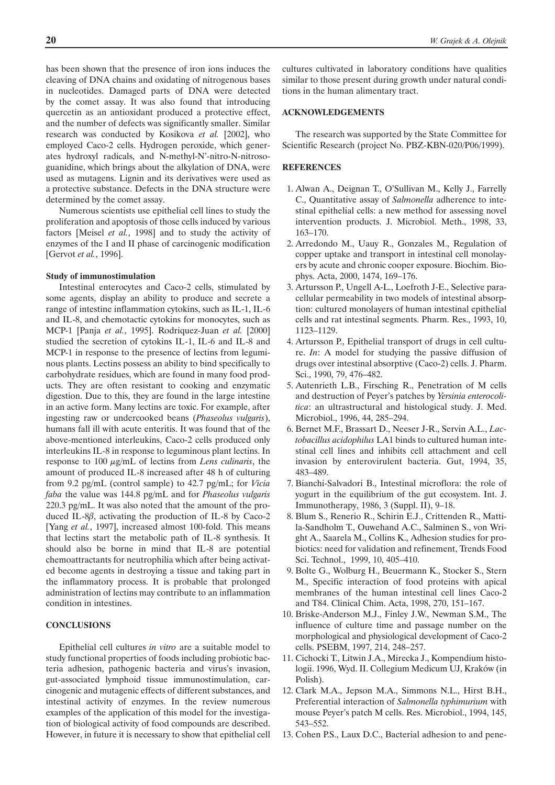has been shown that the presence of iron ions induces the cleaving of DNA chains and oxidating of nitrogenous bases in nucleotides. Damaged parts of DNA were detected by the comet assay. It was also found that introducing quercetin as an antioxidant produced a protective effect, and the number of defects was significantly smaller. Similar research was conducted by Kosikova *et al.* [2002], who employed Caco-2 cells. Hydrogen peroxide, which generates hydroxyl radicals, and N-methyl-N'-nitro-N-nitrosoguanidine, which brings about the alkylation of DNA, were used as mutagens. Lignin and its derivatives were used as a protective substance. Defects in the DNA structure were determined by the comet assay.

Numerous scientists use epithelial cell lines to study the proliferation and apoptosis of those cells induced by various factors [Meisel *et al.*, 1998] and to study the activity of enzymes of the I and II phase of carcinogenic modification [Gervot *et al.*, 1996].

#### **Study of immunostimulation**

Intestinal enterocytes and Caco-2 cells, stimulated by some agents, display an ability to produce and secrete a range of intestine inflammation cytokins, such as IL-1, IL-6 and IL-8, and chemotactic cytokins for monocytes, such as MCP-1 [Panja *et al.*, 1995]. Rodriquez-Juan *et al.* [2000] studied the secretion of cytokins IL-1, IL-6 and IL-8 and MCP-1 in response to the presence of lectins from leguminous plants. Lectins possess an ability to bind specifically to carbohydrate residues, which are found in many food products. They are often resistant to cooking and enzymatic digestion. Due to this, they are found in the large intestine in an active form. Many lectins are toxic. For example, after ingesting raw or undercooked beans (*Phaseolus vulgaris*), humans fall ill with acute enteritis. It was found that of the above-mentioned interleukins, Caco-2 cells produced only interleukins IL-8 in response to leguminous plant lectins. In response to 100 µg/mL of lectins from *Lens culinaris*, the amount of produced IL-8 increased after 48 h of culturing from 9.2 pg/mL (control sample) to 42.7 pg/mL; for *Vicia faba* the value was 144.8 pg/mL and for *Phaseolus vulgaris* 220.3 pg/mL. It was also noted that the amount of the produced IL-8 $\beta$ , activating the production of IL-8 by Caco-2 [Yang *et al.*, 1997], increased almost 100-fold. This means that lectins start the metabolic path of IL-8 synthesis. It should also be borne in mind that IL-8 are potential chemoattractants for neutrophilia which after being activated become agents in destroying a tissue and taking part in the inflammatory process. It is probable that prolonged administration of lectins may contribute to an inflammation condition in intestines.

### **CONCLUSIONS**

Epithelial cell cultures *in vitro* are a suitable model to study functional properties of foods including probiotic bacteria adhesion, pathogenic bacteria and virus's invasion, gut-associated lymphoid tissue immunostimulation, carcinogenic and mutagenic effects of different substances, and intestinal activity of enzymes. In the review numerous examples of the application of this model for the investigation of biological activity of food compounds are described. However, in future it is necessary to show that epithelial cell

cultures cultivated in laboratory conditions have qualities similar to those present during growth under natural conditions in the human alimentary tract.

### **ACKNOWLEDGEMENTS**

The research was supported by the State Committee for Scientific Research (project No. PBZ-KBN-020/P06/1999).

### **REFERENCES**

- 1. Alwan A., Deignan T., O'Sullivan M., Kelly J., Farrelly C., Quantitative assay of *Salmonella* adherence to intestinal epithelial cells: a new method for assessing novel intervention products. J. Microbiol. Meth., 1998, 33, 163–170.
- 2. Arredondo M., Uauy R., Gonzales M., Regulation of copper uptake and transport in intestinal cell monolayers by acute and chronic cooper exposure. Biochim. Biophys. Acta, 2000, 1474, 169–176.
- 3. Artursson P., Ungell A-L., Loefroth J-E., Selective paracellular permeability in two models of intestinal absorption: cultured monolayers of human intestinal epithelial cells and rat intestinal segments. Pharm. Res., 1993, 10, 1123–1129.
- 4. Artursson P., Epithelial transport of drugs in cell culture. *In*: A model for studying the passive diffusion of drugs over intestinal absorptive (Caco-2) cells. J. Pharm. Sci., 1990, 79, 476–482.
- 5. Autenrieth L.B., Firsching R., Penetration of M cells and destruction of Peyer's patches by *Yersinia enterocolitica*: an ultrastructural and histological study. J. Med. Microbiol., 1996, 44, 285–294.
- 6. Bernet M.F., Brassart D., Neeser J-R., Servin A.L., *Lactobacillus acidophilus* LA1 binds to cultured human intestinal cell lines and inhibits cell attachment and cell invasion by enterovirulent bacteria. Gut, 1994, 35, 483–489.
- 7. Bianchi-Salvadori B., Intestinal microflora: the role of yogurt in the equilibrium of the gut ecosystem. Int. J. Immunotherapy, 1986, 3 (Suppl. II), 9–18.
- 8. Blum S., Renerio R., Schirin E.J., Crittenden R., Mattila-Sandholm T., Ouwehand A.C., Salminen S., von Wright A., Saarela M., Collins K., Adhesion studies for probiotics: need for validation and refinement, Trends Food Sci. Technol., 1999, 10, 405–410.
- 9. Bolte G., Wolburg H., Beuermann K., Stocker S., Stern M., Specific interaction of food proteins with apical membranes of the human intestinal cell lines Caco-2 and T84. Clinical Chim. Acta, 1998, 270, 151–167.
- 10. Briske-Anderson M.J., Finley J.W., Newman S.M., The influence of culture time and passage number on the morphological and physiological development of Caco-2 cells. PSEBM, 1997, 214, 248–257.
- 11. Cichocki T., Litwin J.A., Mirecka J., Kompendium histologii. 1996, Wyd. II. Collegium Medicum UJ, Kraków (in Polish).
- 12. Clark M.A., Jepson M.A., Simmons N.L., Hirst B.H., Preferential interaction of *Salmonella typhimurium* with mouse Peyer's patch M cells. Res. Microbiol., 1994, 145, 543–552.
- 13. Cohen P.S., Laux D.C., Bacterial adhesion to and pene-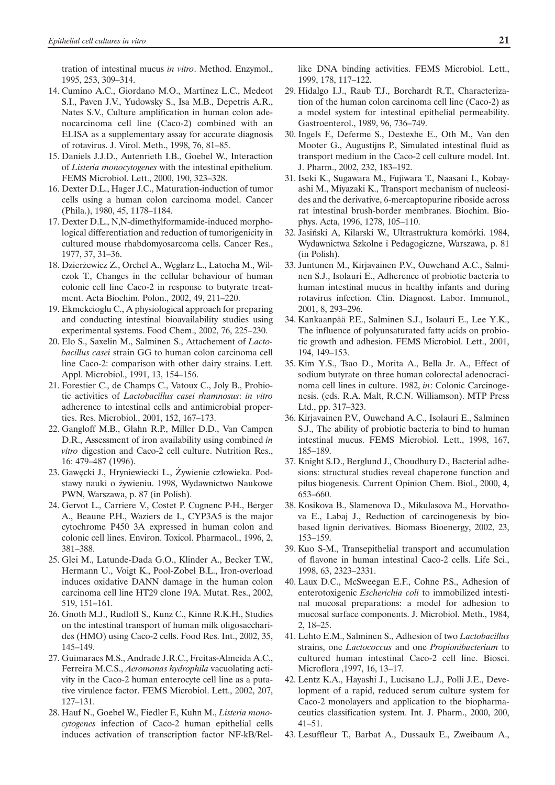tration of intestinal mucus *in vitro*. Method. Enzymol., 1995, 253, 309–314.

- 14. Cumino A.C., Giordano M.O., Martinez L.C., Medeot S.I., Paven J.V., Yudowsky S., Isa M.B., Depetris A.R., Nates S.V., Culture amplification in human colon adenocarcinoma cell line (Caco-2) combined with an ELISA as a supplementary assay for accurate diagnosis of rotavirus. J. Virol. Meth., 1998, 76, 81–85.
- 15. Daniels J.J.D., Autenrieth I.B., Goebel W., Interaction of *Listeria monocytogenes* with the intestinal epithelium. FEMS Microbiol. Lett., 2000, 190, 323–328.
- 16. Dexter D.L., Hager J.C., Maturation-induction of tumor cells using a human colon carcinoma model. Cancer (Phila.), 1980, 45, 1178–1184.
- 17. Dexter D.L., N,N-dimethylformamide-induced morphological differentiation and reduction of tumorigenicity in cultured mouse rhabdomyosarcoma cells. Cancer Res., 1977, 37, 31–36.
- 18. Dzierżewicz Z., Orchel A., Węglarz L., Latocha M., Wilczok T., Changes in the cellular behaviour of human colonic cell line Caco-2 in response to butyrate treatment. Acta Biochim. Polon., 2002, 49, 211–220.
- 19. Ekmekcioglu C., A physiological approach for preparing and conducting intestinal bioavailability studies using experimental systems. Food Chem., 2002, 76, 225–230.
- 20. Elo S., Saxelin M., Salminen S., Attachement of *Lactobacillus casei* strain GG to human colon carcinoma cell line Caco-2: comparison with other dairy strains. Lett. Appl. Microbiol., 1991, 13, 154–156.
- 21. Forestier C., de Champs C., Vatoux C., Joly B., Probiotic activities of *Lactobacillus casei rhamnosus*: *in vitro* adherence to intestinal cells and antimicrobial properties. Res. Microbiol., 2001, 152, 167–173.
- 22. Gangloff M.B., Glahn R.P., Miller D.D., Van Campen D.R., Assessment of iron availability using combined *in vitro* digestion and Caco-2 cell culture. Nutrition Res., 16: 479–487 (1996).
- 23. Gawęcki J., Hryniewiecki L., Żywienie człowieka. Podstawy nauki o żywieniu. 1998, Wydawnictwo Naukowe PWN, Warszawa, p. 87 (in Polish).
- 24. Gervot L., Carriere V., Costet P. Cugnenc P-H., Berger A., Beaune P.H., Waziers de I., CYP3A5 is the major cytochrome P450 3A expressed in human colon and colonic cell lines. Environ. Toxicol. Pharmacol., 1996, 2, 381–388.
- 25. Glei M., Latunde-Dada G.O., Klinder A., Becker T.W., Hermann U., Voigt K., Pool-Zobel B.L., Iron-overload induces oxidative DANN damage in the human colon carcinoma cell line HT29 clone 19A. Mutat. Res., 2002, 519, 151–161.
- 26. Gnoth M.J., Rudloff S., Kunz C., Kinne R.K.H., Studies on the intestinal transport of human milk oligosaccharides (HMO) using Caco-2 cells. Food Res. Int., 2002, 35, 145–149.
- 27. Guimaraes M.S., Andrade J.R.C., Freitas-Almeida A.C., Ferreira M.C.S., *Aeromonas hydrophila* vacuolating activity in the Caco-2 human enterocyte cell line as a putative virulence factor. FEMS Microbiol. Lett., 2002, 207, 127–131.
- 28. Hauf N., Goebel W., Fiedler F., Kuhn M., *Listeria monocytogenes* infection of Caco-2 human epithelial cells induces activation of transcription factor NF-kB/Rel-

like DNA binding activities. FEMS Microbiol. Lett., 1999, 178, 117–122.

- 29. Hidalgo I.J., Raub T.J., Borchardt R.T., Characterization of the human colon carcinoma cell line (Caco-2) as a model system for intestinal epithelial permeability. Gastroenterol., 1989, 96, 736–749.
- 30. Ingels F., Deferme S., Destexhe E., Oth M., Van den Mooter G., Augustijns P., Simulated intestinal fluid as transport medium in the Caco-2 cell culture model. Int. J. Pharm., 2002, 232, 183–192.
- 31. Iseki K., Sugawara M., Fujiwara T., Naasani I., Kobayashi M., Miyazaki K., Transport mechanism of nucleosides and the derivative, 6-mercaptopurine riboside across rat intestinal brush-border membranes. Biochim. Biophys. Acta, 1996, 1278, 105–110.
- 32. Jasiñski A, Kilarski W., Ultrastruktura komórki. 1984, Wydawnictwa Szkolne i Pedagogiczne, Warszawa, p. 81 (in Polish).
- 33. Juntunen M., Kirjavainen P.V., Ouwehand A.C., Salminen S.J., Isolauri E., Adherence of probiotic bacteria to human intestinal mucus in healthy infants and during rotavirus infection. Clin. Diagnost. Labor. Immunol., 2001, 8, 293–296.
- 34. Kankaanpää P.E., Salminen S.J., Isolauri E., Lee Y.K., The influence of polyunsaturated fatty acids on probiotic growth and adhesion. FEMS Microbiol. Lett., 2001, 194, 149–153.
- 35. Kim Y.S., Tsao D., Morita A., Bella Jr. A., Effect of sodium butyrate on three human colorectal adenocracinoma cell lines in culture. 1982, *in*: Colonic Carcinogenesis. (eds. R.A. Malt, R.C.N. Williamson). MTP Press Ltd., pp. 317–323.
- 36. Kirjavainen P.V., Ouwehand A.C., Isolauri E., Salminen S.J., The ability of probiotic bacteria to bind to human intestinal mucus. FEMS Microbiol. Lett., 1998, 167, 185–189.
- 37. Knight S.D., Berglund J., Choudhury D., Bacterial adhesions: structural studies reveal chaperone function and pilus biogenesis. Current Opinion Chem. Biol., 2000, 4, 653–660.
- 38. Kosikova B., Slamenova D., Mikulasova M., Horvathova E., Labaj J., Reduction of carcinogenesis by biobased lignin derivatives. Biomass Bioenergy, 2002, 23, 153–159.
- 39. Kuo S-M., Transepithelial transport and accumulation of flavone in human intestinal Caco-2 cells. Life Sci., 1998, 63, 2323–2331.
- 40. Laux D.C., McSweegan E.F., Cohne P.S., Adhesion of enterotoxigenic *Escherichia coli* to immobilized intestinal mucosal preparations: a model for adhesion to mucosal surface components. J. Microbiol. Meth., 1984, 2, 18–25.
- 41. Lehto E.M., Salminen S., Adhesion of two *Lactobacillus* strains, one *Lactococcus* and one *Propionibacterium* to cultured human intestinal Caco-2 cell line. Biosci. Microflora ,1997, 16, 13–17.
- 42. Lentz K.A., Hayashi J., Lucisano L.J., Polli J.E., Development of a rapid, reduced serum culture system for Caco-2 monolayers and application to the biopharmaceutics classification system. Int. J. Pharm., 2000, 200, 41–51.
- 43. Lesuffleur T., Barbat A., Dussaulx E., Zweibaum A.,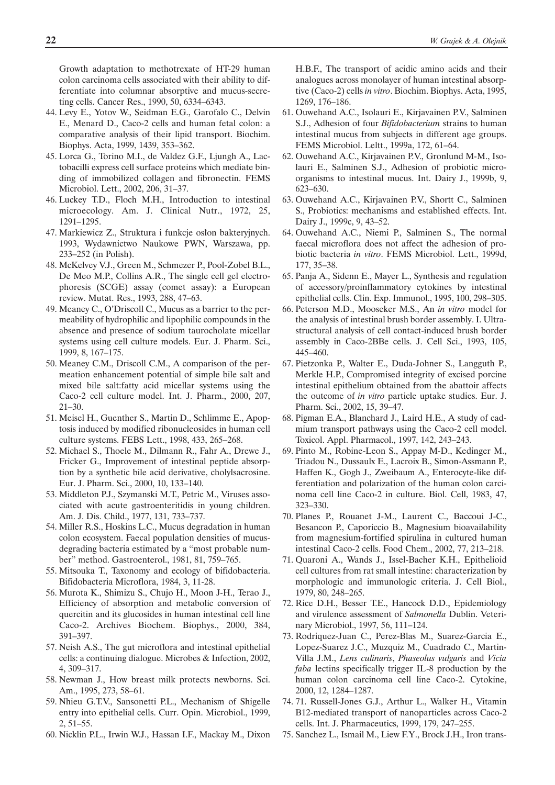Growth adaptation to methotrexate of HT-29 human colon carcinoma cells associated with their ability to differentiate into columnar absorptive and mucus-secreting cells. Cancer Res., 1990, 50, 6334–6343.

- 44. Levy E., Yotov W., Seidman E.G., Garofalo C., Delvin E., Menard D., Caco-2 cells and human fetal colon: a comparative analysis of their lipid transport. Biochim. Biophys. Acta, 1999, 1439, 353–362.
- 45. Lorca G., Torino M.I., de Valdez G.F., Ljungh A., Lactobacilli express cell surface proteins which mediate binding of immobilized collagen and fibronectin. FEMS Microbiol. Lett., 2002, 206, 31–37.
- 46. Luckey T.D., Floch M.H., Introduction to intestinal microecology. Am. J. Clinical Nutr., 1972, 25, 1291–1295.
- 47. Markiewicz Z., Struktura i funkcje osłon bakteryjnych. 1993, Wydawnictwo Naukowe PWN, Warszawa, pp. 233–252 (in Polish).
- 48. McKelvey V.J., Green M., Schmezer P., Pool-Zobel B.L., De Meo M.P., Collins A.R., The single cell gel electrophoresis (SCGE) assay (comet assay): a European review. Mutat. Res., 1993, 288, 47–63.
- 49. Meaney C., O'Driscoll C., Mucus as a barrier to the permeability of hydrophilic and lipophilic compounds in the absence and presence of sodium taurocholate micellar systems using cell culture models. Eur. J. Pharm. Sci., 1999, 8, 167–175.
- 50. Meaney C.M., Driscoll C.M., A comparison of the permeation enhancement potential of simple bile salt and mixed bile salt:fatty acid micellar systems using the Caco-2 cell culture model. Int. J. Pharm., 2000, 207, 21–30.
- 51. Meisel H., Guenther S., Martin D., Schlimme E., Apoptosis induced by modified ribonucleosides in human cell culture systems. FEBS Lett., 1998, 433, 265–268.
- 52. Michael S., Thoele M., Dilmann R., Fahr A., Drewe J., Fricker G., Improvement of intestinal peptide absorption by a synthetic bile acid derivative, cholylsacrosine. Eur. J. Pharm. Sci., 2000, 10, 133–140.
- 53. Middleton P.J., Szymanski M.T., Petric M., Viruses associated with acute gastroenteritidis in young children. Am. J. Dis. Child., 1977, 131, 733–737.
- 54. Miller R.S., Hoskins L.C., Mucus degradation in human colon ecosystem. Faecal population densities of mucusdegrading bacteria estimated by a "most probable number" method. Gastroenterol., 1981, 81, 759–765.
- 55. Mitsouka T., Taxonomy and ecology of bifidobacteria. Bifidobacteria Microflora, 1984, 3, 11-28.
- 56. Murota K., Shimizu S., Chujo H., Moon J-H., Terao J., Efficiency of absorption and metabolic conversion of quercitin and its glucosides in human intestinal cell line Caco-2. Archives Biochem. Biophys., 2000, 384, 391–397.
- 57. Neish A.S., The gut microflora and intestinal epithelial cells: a continuing dialogue. Microbes & Infection, 2002, 4, 309–317.
- 58. Newman J., How breast milk protects newborns. Sci. Am., 1995, 273, 58–61.
- 59. Nhieu G.T.V., Sansonetti P.L., Mechanism of Shigelle entry into epithelial cells. Curr. Opin. Microbiol., 1999, 2, 51–55.
- 60. Nicklin P.L., Irwin W.J., Hassan I.F., Mackay M., Dixon

H.B.F., The transport of acidic amino acids and their analogues across monolayer of human intestinal absorptive (Caco-2) cells *in vitro*. Biochim. Biophys. Acta, 1995, 1269, 176–186.

- 61. Ouwehand A.C., Isolauri E., Kirjavainen P.V., Salminen S.J., Adhesion of four *Bifidobacterium* strains to human intestinal mucus from subjects in different age groups. FEMS Microbiol. Leltt., 1999a, 172, 61–64.
- 62. Ouwehand A.C., Kirjavainen P.V., Gronlund M-M., Isolauri E., Salminen S.J., Adhesion of probiotic microorganisms to intestinal mucus. Int. Dairy J., 1999b, 9, 623–630.
- 63. Ouwehand A.C., Kirjavainen P.V., Shortt C., Salminen S., Probiotics: mechanisms and established effects. Int. Dairy J., 1999c, 9, 43–52.
- 64. Ouwehand A.C., Niemi P., Salminen S., The normal faecal microflora does not affect the adhesion of probiotic bacteria *in vitro*. FEMS Microbiol. Lett., 1999d, 177, 35–38.
- 65. Panja A., Sidenn E., Mayer L., Synthesis and regulation of accessory/proinflammatory cytokines by intestinal epithelial cells. Clin. Exp. Immunol., 1995, 100, 298–305.
- 66. Peterson M.D., Mooseker M.S., An *in vitro* model for the analysis of intestinal brush border assembly. I. Ultrastructural analysis of cell contact-induced brush border assembly in Caco-2BBe cells. J. Cell Sci., 1993, 105, 445–460.
- 67. Pietzonka P., Walter E., Duda-Johner S., Langguth P., Merkle H.P., Compromised integrity of excised porcine intestinal epithelium obtained from the abattoir affects the outcome of *in vitro* particle uptake studies. Eur. J. Pharm. Sci., 2002, 15, 39–47.
- 68. Pigman E.A., Blanchard J., Laird H.E., A study of cadmium transport pathways using the Caco-2 cell model. Toxicol. Appl. Pharmacol., 1997, 142, 243–243.
- 69. Pinto M., Robine-Leon S., Appay M-D., Kedinger M., Triadou N., Dussaulx E., Lacroix B., Simon-Assmann P., Haffen K., Gogh J., Zweibaum A., Enterocyte-like differentiation and polarization of the human colon carcinoma cell line Caco-2 in culture. Biol. Cell, 1983, 47, 323–330.
- 70. Planes P., Rouanet J-M., Laurent C., Baccoui J-C., Besancon P., Caporiccio B., Magnesium bioavailability from magnesium-fortified spirulina in cultured human intestinal Caco-2 cells. Food Chem., 2002, 77, 213–218.
- 71. Quaroni A., Wands J., Issel-Bacher K.H., Epithelioid cell cultures from rat small intestine: characterization by morphologic and immunologic criteria. J. Cell Biol., 1979, 80, 248–265.
- 72. Rice D.H., Besser T.E., Hancock D.D., Epidemiology and virulence assessment of *Salmonella* Dublin. Veterinary Microbiol., 1997, 56, 111–124.
- 73. Rodriquez-Juan C., Perez-Blas M., Suarez-Garcia E., Lopez-Suarez J.C., Muzquiz M., Cuadrado C., Martin-Villa J.M., *Lens culinaris*, *Phaseolus vulgaris* and *Vicia faba* lectins specifically trigger IL-8 production by the human colon carcinoma cell line Caco-2. Cytokine, 2000, 12, 1284–1287.
- 74. 71. Russell-Jones G.J., Arthur L., Walker H., Vitamin B12-mediated transport of nanoparticles across Caco-2 cells. Int. J. Pharmaceutics, 1999, 179, 247–255.
- 75. Sanchez L., Ismail M., Liew F.Y., Brock J.H., Iron trans-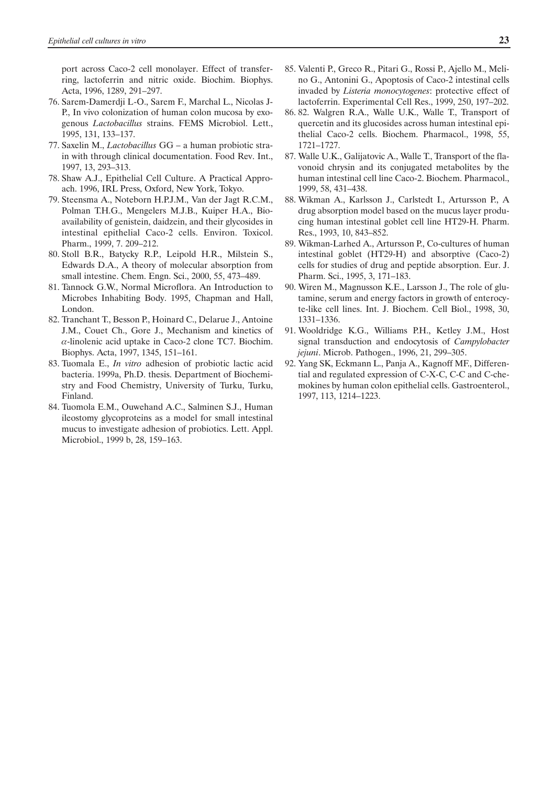port across Caco-2 cell monolayer. Effect of transferring, lactoferrin and nitric oxide. Biochim. Biophys. Acta, 1996, 1289, 291–297.

- 76. Sarem-Damerdji L-O., Sarem F., Marchal L., Nicolas J-P., In vivo colonization of human colon mucosa by exogenous *Lactobacillus* strains. FEMS Microbiol. Lett., 1995, 131, 133–137.
- 77. Saxelin M., *Lactobacillus* GG a human probiotic strain with through clinical documentation. Food Rev. Int., 1997, 13, 293–313.
- 78. Shaw A.J., Epithelial Cell Culture. A Practical Approach. 1996, IRL Press, Oxford, New York, Tokyo.
- 79. Steensma A., Noteborn H.P.J.M., Van der Jagt R.C.M., Polman T.H.G., Mengelers M.J.B., Kuiper H.A., Bioavailability of genistein, daidzein, and their glycosides in intestinal epithelial Caco-2 cells. Environ. Toxicol. Pharm., 1999, 7. 209–212.
- 80. Stoll B.R., Batycky R.P., Leipold H.R., Milstein S., Edwards D.A., A theory of molecular absorption from small intestine. Chem. Engn. Sci., 2000, 55, 473–489.
- 81. Tannock G.W., Normal Microflora. An Introduction to Microbes Inhabiting Body. 1995, Chapman and Hall, London.
- 82. Tranchant T., Besson P., Hoinard C., Delarue J., Antoine J.M., Couet Ch., Gore J., Mechanism and kinetics of  $\alpha$ -linolenic acid uptake in Caco-2 clone TC7. Biochim. Biophys. Acta, 1997, 1345, 151–161.
- 83. Tuomala E., *In vitro* adhesion of probiotic lactic acid bacteria. 1999a, Ph.D. thesis. Department of Biochemistry and Food Chemistry, University of Turku, Turku, Finland.
- 84. Tuomola E.M., Ouwehand A.C., Salminen S.J., Human ileostomy glycoproteins as a model for small intestinal mucus to investigate adhesion of probiotics. Lett. Appl. Microbiol., 1999 b, 28, 159–163.
- 85. Valenti P., Greco R., Pitari G., Rossi P., Ajello M., Melino G., Antonini G., Apoptosis of Caco-2 intestinal cells invaded by *Listeria monocytogenes*: protective effect of lactoferrin. Experimental Cell Res., 1999, 250, 197–202.
- 86. 82. Walgren R.A., Walle U.K., Walle T., Transport of quercetin and its glucosides across human intestinal epithelial Caco-2 cells. Biochem. Pharmacol., 1998, 55, 1721–1727.
- 87. Walle U.K., Galijatovic A., Walle T., Transport of the flavonoid chrysin and its conjugated metabolites by the human intestinal cell line Caco-2. Biochem. Pharmacol., 1999, 58, 431–438.
- 88. Wikman A., Karlsson J., Carlstedt I., Artursson P., A drug absorption model based on the mucus layer producing human intestinal goblet cell line HT29-H. Pharm. Res., 1993, 10, 843–852.
- 89. Wikman-Larhed A., Artursson P., Co-cultures of human intestinal goblet (HT29-H) and absorptive (Caco-2) cells for studies of drug and peptide absorption. Eur. J. Pharm. Sci., 1995, 3, 171–183.
- 90. Wiren M., Magnusson K.E., Larsson J., The role of glutamine, serum and energy factors in growth of enterocyte-like cell lines. Int. J. Biochem. Cell Biol., 1998, 30, 1331–1336.
- 91. Wooldridge K.G., Williams P.H., Ketley J.M., Host signal transduction and endocytosis of *Campylobacter jejuni*. Microb. Pathogen., 1996, 21, 299–305.
- 92. Yang SK, Eckmann L., Panja A., Kagnoff MF., Differential and regulated expression of C-X-C, C-C and C-chemokines by human colon epithelial cells. Gastroenterol., 1997, 113, 1214–1223.